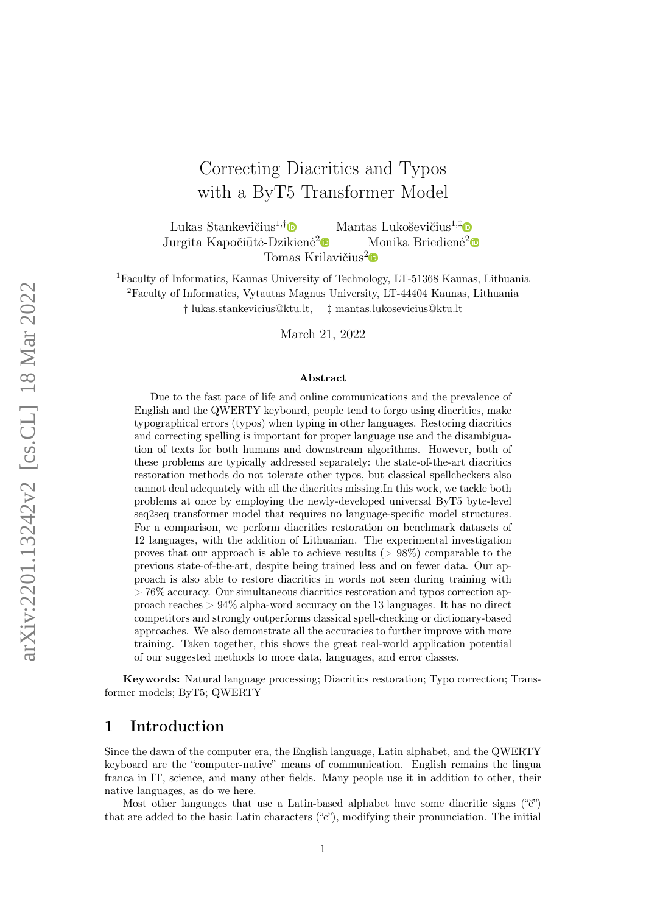# Correcting Diacritics and Typos with a ByT5 Transformer Model

Lukas Stankevičius<sup>1,[†](https://orcid.org/0000-0003-0012-5471)</sup> $\bullet$  Mantas Lukoševičius<sup>1,‡</sup> $\bullet$ Jurgita Kapočiūtė-Dzikienė<sup>[2](https://orcid.org/0000-0001-6165-1702)</sup><sup>®</sup> Monika Briedienė<sup>2</sup> Tomas Krilavičius<sup>[2](https://orcid.org/0000-0001-8509-420X)</sup> $\bullet$ 

<sup>1</sup>Faculty of Informatics, Kaunas University of Technology, LT-51368 Kaunas, Lithuania <sup>2</sup>Faculty of Informatics, Vytautas Magnus University, LT-44404 Kaunas, Lithuania

† lukas.stankevicius@ktu.lt, ‡ mantas.lukosevicius@ktu.lt

March 21, 2022

#### Abstract

Due to the fast pace of life and online communications and the prevalence of English and the QWERTY keyboard, people tend to forgo using diacritics, make typographical errors (typos) when typing in other languages. Restoring diacritics and correcting spelling is important for proper language use and the disambiguation of texts for both humans and downstream algorithms. However, both of these problems are typically addressed separately: the state-of-the-art diacritics restoration methods do not tolerate other typos, but classical spellcheckers also cannot deal adequately with all the diacritics missing.In this work, we tackle both problems at once by employing the newly-developed universal ByT5 byte-level seq2seq transformer model that requires no language-specific model structures. For a comparison, we perform diacritics restoration on benchmark datasets of 12 languages, with the addition of Lithuanian. The experimental investigation proves that our approach is able to achieve results ( $> 98\%$ ) comparable to the previous state-of-the-art, despite being trained less and on fewer data. Our approach is also able to restore diacritics in words not seen during training with > 76% accuracy. Our simultaneous diacritics restoration and typos correction approach reaches > 94% alpha-word accuracy on the 13 languages. It has no direct competitors and strongly outperforms classical spell-checking or dictionary-based approaches. We also demonstrate all the accuracies to further improve with more training. Taken together, this shows the great real-world application potential of our suggested methods to more data, languages, and error classes.

Keywords: Natural language processing; Diacritics restoration; Typo correction; Transformer models; ByT5; QWERTY

# 1 Introduction

Since the dawn of the computer era, the English language, Latin alphabet, and the QWERTY keyboard are the "computer-native" means of communication. English remains the lingua franca in IT, science, and many other fields. Many people use it in addition to other, their native languages, as do we here.

Most other languages that use a Latin-based alphabet have some diacritic signs ("č") that are added to the basic Latin characters ("c"), modifying their pronunciation. The initial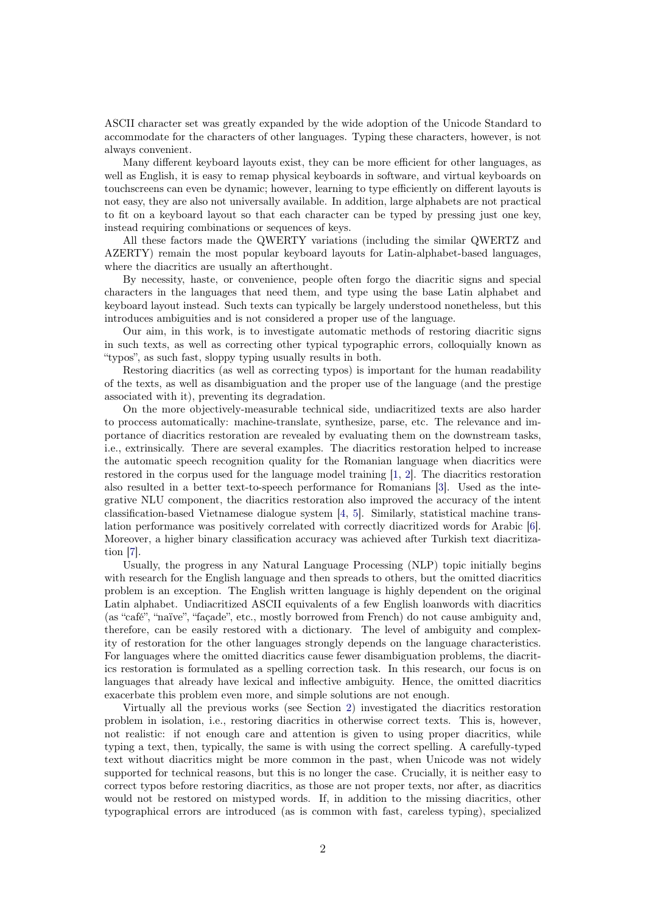ASCII character set was greatly expanded by the wide adoption of the Unicode Standard to accommodate for the characters of other languages. Typing these characters, however, is not always convenient.

Many different keyboard layouts exist, they can be more efficient for other languages, as well as English, it is easy to remap physical keyboards in software, and virtual keyboards on touchscreens can even be dynamic; however, learning to type efficiently on different layouts is not easy, they are also not universally available. In addition, large alphabets are not practical to fit on a keyboard layout so that each character can be typed by pressing just one key, instead requiring combinations or sequences of keys.

All these factors made the QWERTY variations (including the similar QWERTZ and AZERTY) remain the most popular keyboard layouts for Latin-alphabet-based languages, where the diacritics are usually an afterthought.

By necessity, haste, or convenience, people often forgo the diacritic signs and special characters in the languages that need them, and type using the base Latin alphabet and keyboard layout instead. Such texts can typically be largely understood nonetheless, but this introduces ambiguities and is not considered a proper use of the language.

Our aim, in this work, is to investigate automatic methods of restoring diacritic signs in such texts, as well as correcting other typical typographic errors, colloquially known as "typos", as such fast, sloppy typing usually results in both.

Restoring diacritics (as well as correcting typos) is important for the human readability of the texts, as well as disambiguation and the proper use of the language (and the prestige associated with it), preventing its degradation.

On the more objectively-measurable technical side, undiacritized texts are also harder to proccess automatically: machine-translate, synthesize, parse, etc. The relevance and importance of diacritics restoration are revealed by evaluating them on the downstream tasks, i.e., extrinsically. There are several examples. The diacritics restoration helped to increase the automatic speech recognition quality for the Romanian language when diacritics were restored in the corpus used for the language model training [\[1,](#page-28-0) [2\]](#page-28-1). The diacritics restoration also resulted in a better text-to-speech performance for Romanians [\[3\]](#page-28-2). Used as the integrative NLU component, the diacritics restoration also improved the accuracy of the intent classification-based Vietnamese dialogue system [\[4,](#page-29-0) [5\]](#page-29-1). Similarly, statistical machine translation performance was positively correlated with correctly diacritized words for Arabic [\[6\]](#page-29-2). Moreover, a higher binary classification accuracy was achieved after Turkish text diacritization [\[7\]](#page-29-3).

Usually, the progress in any Natural Language Processing (NLP) topic initially begins with research for the English language and then spreads to others, but the omitted diacritics problem is an exception. The English written language is highly dependent on the original Latin alphabet. Undiacritized ASCII equivalents of a few English loanwords with diacritics (as "café", "naïve", "façade", etc., mostly borrowed from French) do not cause ambiguity and, therefore, can be easily restored with a dictionary. The level of ambiguity and complexity of restoration for the other languages strongly depends on the language characteristics. For languages where the omitted diacritics cause fewer disambiguation problems, the diacritics restoration is formulated as a spelling correction task. In this research, our focus is on languages that already have lexical and inflective ambiguity. Hence, the omitted diacritics exacerbate this problem even more, and simple solutions are not enough.

Virtually all the previous works (see Section [2\)](#page-2-0) investigated the diacritics restoration problem in isolation, i.e., restoring diacritics in otherwise correct texts. This is, however, not realistic: if not enough care and attention is given to using proper diacritics, while typing a text, then, typically, the same is with using the correct spelling. A carefully-typed text without diacritics might be more common in the past, when Unicode was not widely supported for technical reasons, but this is no longer the case. Crucially, it is neither easy to correct typos before restoring diacritics, as those are not proper texts, nor after, as diacritics would not be restored on mistyped words. If, in addition to the missing diacritics, other typographical errors are introduced (as is common with fast, careless typing), specialized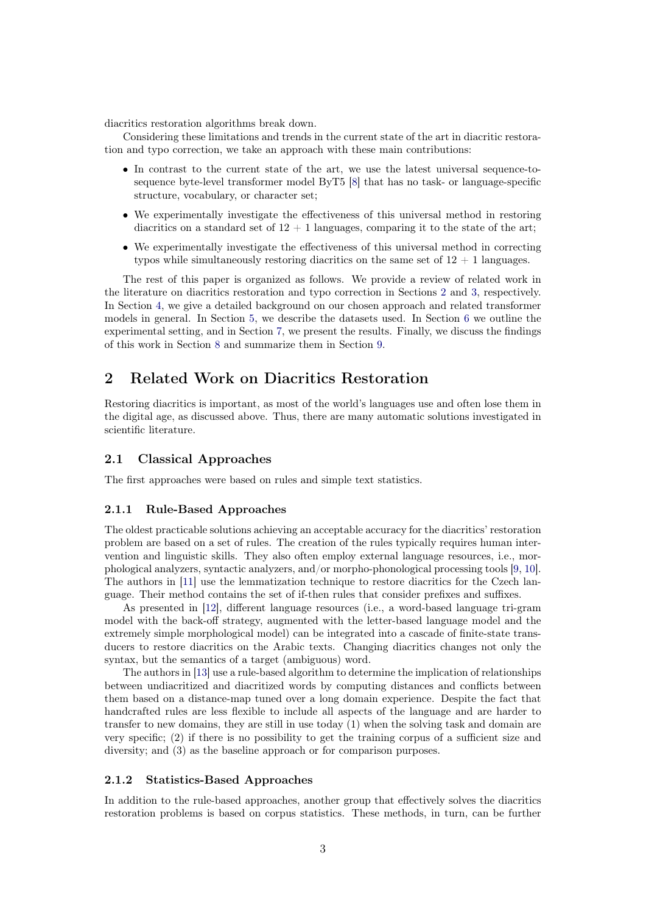diacritics restoration algorithms break down.

Considering these limitations and trends in the current state of the art in diacritic restoration and typo correction, we take an approach with these main contributions:

- In contrast to the current state of the art, we use the latest universal sequence-tosequence byte-level transformer model ByT5 [\[8\]](#page-29-4) that has no task- or language-specific structure, vocabulary, or character set;
- We experimentally investigate the effectiveness of this universal method in restoring diacritics on a standard set of  $12 + 1$  languages, comparing it to the state of the art;
- We experimentally investigate the effectiveness of this universal method in correcting typos while simultaneously restoring diacritics on the same set of  $12 + 1$  languages.

The rest of this paper is organized as follows. We provide a review of related work in the literature on diacritics restoration and typo correction in Sections [2](#page-2-0) and [3,](#page-8-0) respectively. In Section [4,](#page-10-0) we give a detailed background on our chosen approach and related transformer models in general. In Section [5,](#page-15-0) we describe the datasets used. In Section [6](#page-17-0) we outline the experimental setting, and in Section [7,](#page-21-0) we present the results. Finally, we discuss the findings of this work in Section [8](#page-27-0) and summarize them in Section [9.](#page-27-1)

# <span id="page-2-0"></span>2 Related Work on Diacritics Restoration

Restoring diacritics is important, as most of the world's languages use and often lose them in the digital age, as discussed above. Thus, there are many automatic solutions investigated in scientific literature.

# 2.1 Classical Approaches

The first approaches were based on rules and simple text statistics.

#### 2.1.1 Rule-Based Approaches

The oldest practicable solutions achieving an acceptable accuracy for the diacritics' restoration problem are based on a set of rules. The creation of the rules typically requires human intervention and linguistic skills. They also often employ external language resources, i.e., morphological analyzers, syntactic analyzers, and/or morpho-phonological processing tools [\[9,](#page-29-5) [10\]](#page-29-6). The authors in [\[11\]](#page-29-7) use the lemmatization technique to restore diacritics for the Czech language. Their method contains the set of if-then rules that consider prefixes and suffixes.

As presented in [\[12\]](#page-29-8), different language resources (i.e., a word-based language tri-gram model with the back-off strategy, augmented with the letter-based language model and the extremely simple morphological model) can be integrated into a cascade of finite-state transducers to restore diacritics on the Arabic texts. Changing diacritics changes not only the syntax, but the semantics of a target (ambiguous) word.

The authors in [\[13\]](#page-29-9) use a rule-based algorithm to determine the implication of relationships between undiacritized and diacritized words by computing distances and conflicts between them based on a distance-map tuned over a long domain experience. Despite the fact that handcrafted rules are less flexible to include all aspects of the language and are harder to transfer to new domains, they are still in use today (1) when the solving task and domain are very specific; (2) if there is no possibility to get the training corpus of a sufficient size and diversity; and (3) as the baseline approach or for comparison purposes.

### <span id="page-2-1"></span>2.1.2 Statistics-Based Approaches

In addition to the rule-based approaches, another group that effectively solves the diacritics restoration problems is based on corpus statistics. These methods, in turn, can be further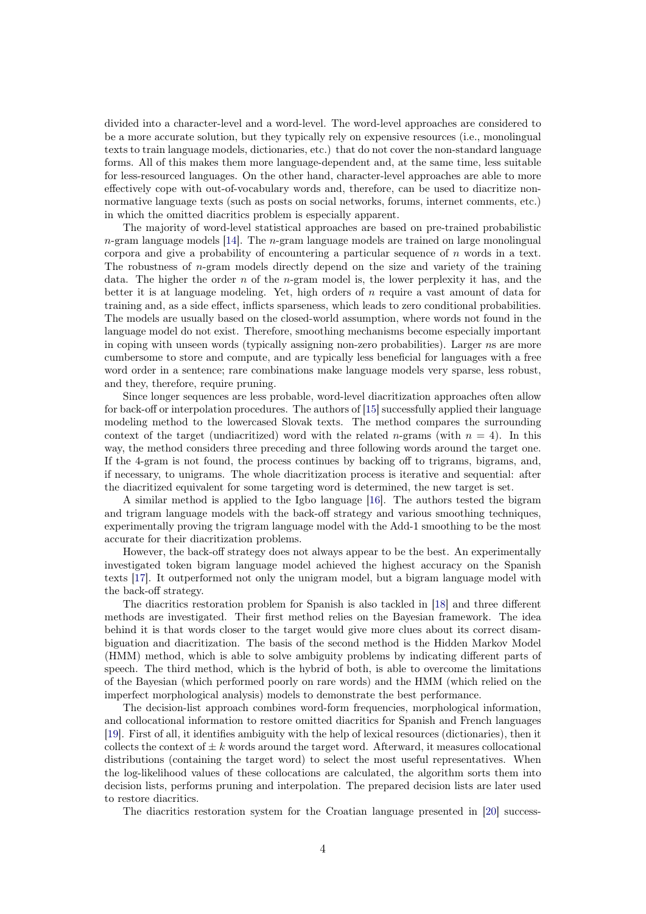divided into a character-level and a word-level. The word-level approaches are considered to be a more accurate solution, but they typically rely on expensive resources (i.e., monolingual texts to train language models, dictionaries, etc.) that do not cover the non-standard language forms. All of this makes them more language-dependent and, at the same time, less suitable for less-resourced languages. On the other hand, character-level approaches are able to more effectively cope with out-of-vocabulary words and, therefore, can be used to diacritize nonnormative language texts (such as posts on social networks, forums, internet comments, etc.) in which the omitted diacritics problem is especially apparent.

The majority of word-level statistical approaches are based on pre-trained probabilistic  $n$ -gram language models [\[14\]](#page-29-10). The  $n$ -gram language models are trained on large monolingual corpora and give a probability of encountering a particular sequence of  $n$  words in a text. The robustness of  $n$ -gram models directly depend on the size and variety of the training data. The higher the order  $n$  of the *n*-gram model is, the lower perplexity it has, and the better it is at language modeling. Yet, high orders of  $n$  require a vast amount of data for training and, as a side effect, inflicts sparseness, which leads to zero conditional probabilities. The models are usually based on the closed-world assumption, where words not found in the language model do not exist. Therefore, smoothing mechanisms become especially important in coping with unseen words (typically assigning non-zero probabilities). Larger ns are more cumbersome to store and compute, and are typically less beneficial for languages with a free word order in a sentence; rare combinations make language models very sparse, less robust, and they, therefore, require pruning.

Since longer sequences are less probable, word-level diacritization approaches often allow for back-off or interpolation procedures. The authors of [\[15\]](#page-29-11) successfully applied their language modeling method to the lowercased Slovak texts. The method compares the surrounding context of the target (undiacritized) word with the related *n*-grams (with  $n = 4$ ). In this way, the method considers three preceding and three following words around the target one. If the 4-gram is not found, the process continues by backing off to trigrams, bigrams, and, if necessary, to unigrams. The whole diacritization process is iterative and sequential: after the diacritized equivalent for some targeting word is determined, the new target is set.

A similar method is applied to the Igbo language [\[16\]](#page-29-12). The authors tested the bigram and trigram language models with the back-off strategy and various smoothing techniques, experimentally proving the trigram language model with the Add-1 smoothing to be the most accurate for their diacritization problems.

However, the back-off strategy does not always appear to be the best. An experimentally investigated token bigram language model achieved the highest accuracy on the Spanish texts [\[17\]](#page-30-0). It outperformed not only the unigram model, but a bigram language model with the back-off strategy.

The diacritics restoration problem for Spanish is also tackled in [\[18\]](#page-30-1) and three different methods are investigated. Their first method relies on the Bayesian framework. The idea behind it is that words closer to the target would give more clues about its correct disambiguation and diacritization. The basis of the second method is the Hidden Markov Model (HMM) method, which is able to solve ambiguity problems by indicating different parts of speech. The third method, which is the hybrid of both, is able to overcome the limitations of the Bayesian (which performed poorly on rare words) and the HMM (which relied on the imperfect morphological analysis) models to demonstrate the best performance.

The decision-list approach combines word-form frequencies, morphological information, and collocational information to restore omitted diacritics for Spanish and French languages [\[19\]](#page-30-2). First of all, it identifies ambiguity with the help of lexical resources (dictionaries), then it collects the context of  $\pm k$  words around the target word. Afterward, it measures collocational distributions (containing the target word) to select the most useful representatives. When the log-likelihood values of these collocations are calculated, the algorithm sorts them into decision lists, performs pruning and interpolation. The prepared decision lists are later used to restore diacritics.

The diacritics restoration system for the Croatian language presented in [\[20\]](#page-30-3) success-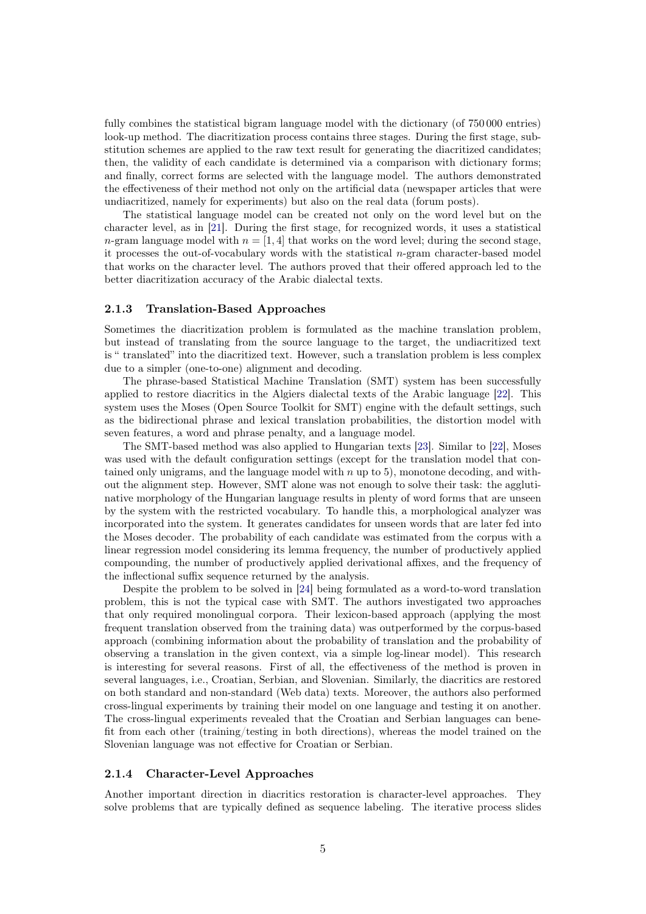fully combines the statistical bigram language model with the dictionary (of 750 000 entries) look-up method. The diacritization process contains three stages. During the first stage, substitution schemes are applied to the raw text result for generating the diacritized candidates; then, the validity of each candidate is determined via a comparison with dictionary forms; and finally, correct forms are selected with the language model. The authors demonstrated the effectiveness of their method not only on the artificial data (newspaper articles that were undiacritized, namely for experiments) but also on the real data (forum posts).

The statistical language model can be created not only on the word level but on the character level, as in [\[21\]](#page-30-4). During the first stage, for recognized words, it uses a statistical n-gram language model with  $n = \begin{bmatrix} 1 & 4 \end{bmatrix}$  that works on the word level; during the second stage, it processes the out-of-vocabulary words with the statistical  $n$ -gram character-based model that works on the character level. The authors proved that their offered approach led to the better diacritization accuracy of the Arabic dialectal texts.

#### 2.1.3 Translation-Based Approaches

Sometimes the diacritization problem is formulated as the machine translation problem, but instead of translating from the source language to the target, the undiacritized text is " translated" into the diacritized text. However, such a translation problem is less complex due to a simpler (one-to-one) alignment and decoding.

The phrase-based Statistical Machine Translation (SMT) system has been successfully applied to restore diacritics in the Algiers dialectal texts of the Arabic language [\[22\]](#page-30-5). This system uses the Moses (Open Source Toolkit for SMT) engine with the default settings, such as the bidirectional phrase and lexical translation probabilities, the distortion model with seven features, a word and phrase penalty, and a language model.

The SMT-based method was also applied to Hungarian texts [\[23\]](#page-30-6). Similar to [\[22\]](#page-30-5), Moses was used with the default configuration settings (except for the translation model that contained only unigrams, and the language model with  $n$  up to 5), monotone decoding, and without the alignment step. However, SMT alone was not enough to solve their task: the agglutinative morphology of the Hungarian language results in plenty of word forms that are unseen by the system with the restricted vocabulary. To handle this, a morphological analyzer was incorporated into the system. It generates candidates for unseen words that are later fed into the Moses decoder. The probability of each candidate was estimated from the corpus with a linear regression model considering its lemma frequency, the number of productively applied compounding, the number of productively applied derivational affixes, and the frequency of the inflectional suffix sequence returned by the analysis.

Despite the problem to be solved in [\[24\]](#page-30-7) being formulated as a word-to-word translation problem, this is not the typical case with SMT. The authors investigated two approaches that only required monolingual corpora. Their lexicon-based approach (applying the most frequent translation observed from the training data) was outperformed by the corpus-based approach (combining information about the probability of translation and the probability of observing a translation in the given context, via a simple log-linear model). This research is interesting for several reasons. First of all, the effectiveness of the method is proven in several languages, i.e., Croatian, Serbian, and Slovenian. Similarly, the diacritics are restored on both standard and non-standard (Web data) texts. Moreover, the authors also performed cross-lingual experiments by training their model on one language and testing it on another. The cross-lingual experiments revealed that the Croatian and Serbian languages can benefit from each other (training/testing in both directions), whereas the model trained on the Slovenian language was not effective for Croatian or Serbian.

#### 2.1.4 Character-Level Approaches

Another important direction in diacritics restoration is character-level approaches. They solve problems that are typically defined as sequence labeling. The iterative process slides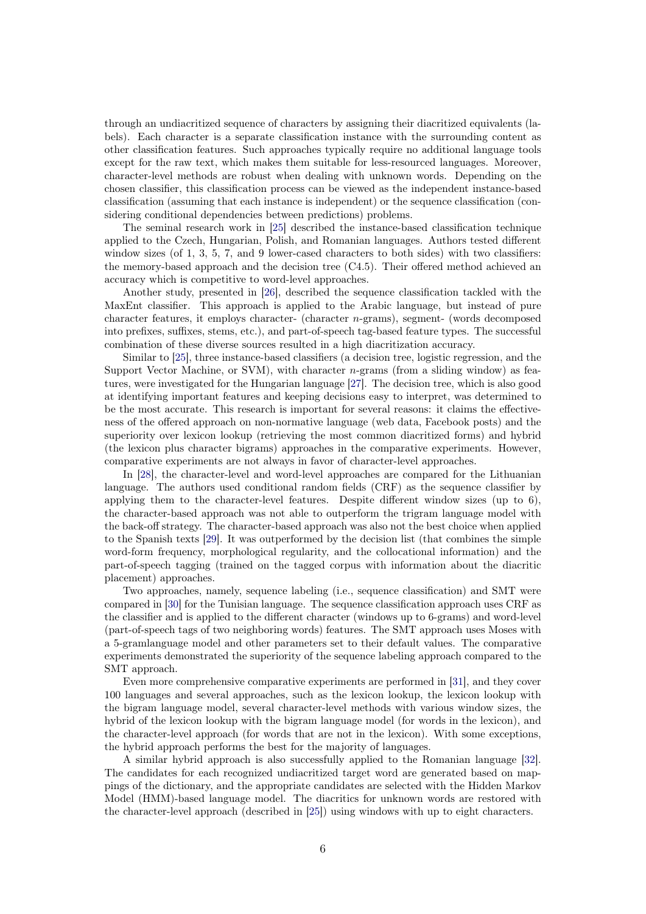through an undiacritized sequence of characters by assigning their diacritized equivalents (labels). Each character is a separate classification instance with the surrounding content as other classification features. Such approaches typically require no additional language tools except for the raw text, which makes them suitable for less-resourced languages. Moreover, character-level methods are robust when dealing with unknown words. Depending on the chosen classifier, this classification process can be viewed as the independent instance-based classification (assuming that each instance is independent) or the sequence classification (considering conditional dependencies between predictions) problems.

The seminal research work in [\[25\]](#page-30-8) described the instance-based classification technique applied to the Czech, Hungarian, Polish, and Romanian languages. Authors tested different window sizes (of 1, 3, 5, 7, and 9 lower-cased characters to both sides) with two classifiers: the memory-based approach and the decision tree (C4.5). Their offered method achieved an accuracy which is competitive to word-level approaches.

Another study, presented in [\[26\]](#page-30-9), described the sequence classification tackled with the MaxEnt classifier. This approach is applied to the Arabic language, but instead of pure character features, it employs character- (character n-grams), segment- (words decomposed into prefixes, suffixes, stems, etc.), and part-of-speech tag-based feature types. The successful combination of these diverse sources resulted in a high diacritization accuracy.

Similar to [\[25\]](#page-30-8), three instance-based classifiers (a decision tree, logistic regression, and the Support Vector Machine, or SVM), with character  $n$ -grams (from a sliding window) as features, were investigated for the Hungarian language [\[27\]](#page-30-10). The decision tree, which is also good at identifying important features and keeping decisions easy to interpret, was determined to be the most accurate. This research is important for several reasons: it claims the effectiveness of the offered approach on non-normative language (web data, Facebook posts) and the superiority over lexicon lookup (retrieving the most common diacritized forms) and hybrid (the lexicon plus character bigrams) approaches in the comparative experiments. However, comparative experiments are not always in favor of character-level approaches.

In [\[28\]](#page-30-11), the character-level and word-level approaches are compared for the Lithuanian language. The authors used conditional random fields (CRF) as the sequence classifier by applying them to the character-level features. Despite different window sizes (up to 6), the character-based approach was not able to outperform the trigram language model with the back-off strategy. The character-based approach was also not the best choice when applied to the Spanish texts [\[29\]](#page-30-12). It was outperformed by the decision list (that combines the simple word-form frequency, morphological regularity, and the collocational information) and the part-of-speech tagging (trained on the tagged corpus with information about the diacritic placement) approaches.

Two approaches, namely, sequence labeling (i.e., sequence classification) and SMT were compared in [\[30\]](#page-31-0) for the Tunisian language. The sequence classification approach uses CRF as the classifier and is applied to the different character (windows up to 6-grams) and word-level (part-of-speech tags of two neighboring words) features. The SMT approach uses Moses with a 5-gramlanguage model and other parameters set to their default values. The comparative experiments demonstrated the superiority of the sequence labeling approach compared to the SMT approach.

Even more comprehensive comparative experiments are performed in [\[31\]](#page-31-1), and they cover 100 languages and several approaches, such as the lexicon lookup, the lexicon lookup with the bigram language model, several character-level methods with various window sizes, the hybrid of the lexicon lookup with the bigram language model (for words in the lexicon), and the character-level approach (for words that are not in the lexicon). With some exceptions, the hybrid approach performs the best for the majority of languages.

A similar hybrid approach is also successfully applied to the Romanian language [\[32\]](#page-31-2). The candidates for each recognized undiacritized target word are generated based on mappings of the dictionary, and the appropriate candidates are selected with the Hidden Markov Model (HMM)-based language model. The diacritics for unknown words are restored with the character-level approach (described in [\[25\]](#page-30-8)) using windows with up to eight characters.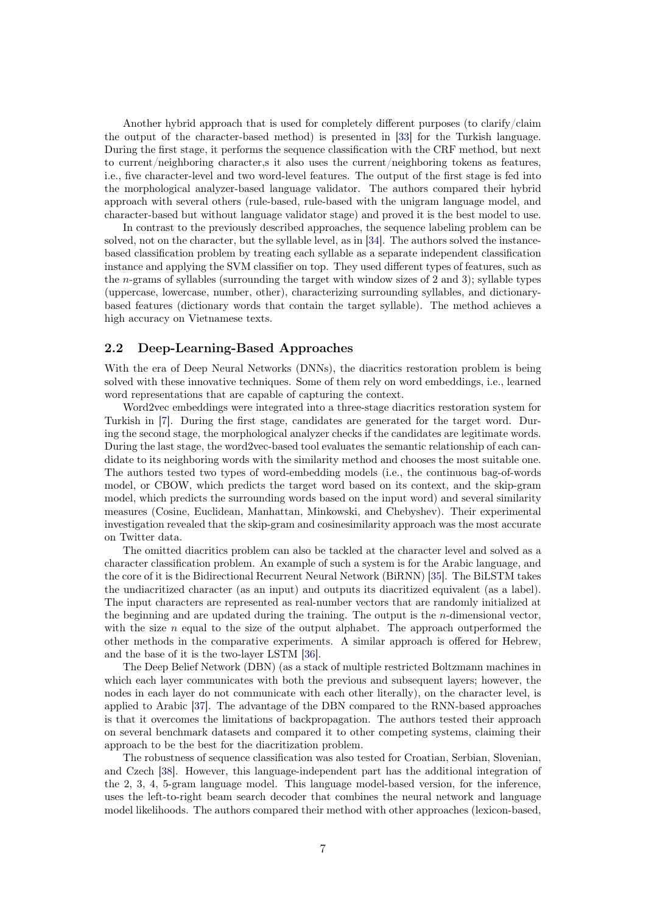Another hybrid approach that is used for completely different purposes (to clarify/claim the output of the character-based method) is presented in [\[33\]](#page-31-3) for the Turkish language. During the first stage, it performs the sequence classification with the CRF method, but next to current/neighboring character,s it also uses the current/neighboring tokens as features, i.e., five character-level and two word-level features. The output of the first stage is fed into the morphological analyzer-based language validator. The authors compared their hybrid approach with several others (rule-based, rule-based with the unigram language model, and character-based but without language validator stage) and proved it is the best model to use.

In contrast to the previously described approaches, the sequence labeling problem can be solved, not on the character, but the syllable level, as in [\[34\]](#page-31-4). The authors solved the instancebased classification problem by treating each syllable as a separate independent classification instance and applying the SVM classifier on top. They used different types of features, such as the n-grams of syllables (surrounding the target with window sizes of 2 and 3); syllable types (uppercase, lowercase, number, other), characterizing surrounding syllables, and dictionarybased features (dictionary words that contain the target syllable). The method achieves a high accuracy on Vietnamese texts.

#### 2.2 Deep-Learning-Based Approaches

With the era of Deep Neural Networks (DNNs), the diacritics restoration problem is being solved with these innovative techniques. Some of them rely on word embeddings, i.e., learned word representations that are capable of capturing the context.

Word2vec embeddings were integrated into a three-stage diacritics restoration system for Turkish in [\[7\]](#page-29-3). During the first stage, candidates are generated for the target word. During the second stage, the morphological analyzer checks if the candidates are legitimate words. During the last stage, the word2vec-based tool evaluates the semantic relationship of each candidate to its neighboring words with the similarity method and chooses the most suitable one. The authors tested two types of word-embedding models (i.e., the continuous bag-of-words model, or CBOW, which predicts the target word based on its context, and the skip-gram model, which predicts the surrounding words based on the input word) and several similarity measures (Cosine, Euclidean, Manhattan, Minkowski, and Chebyshev). Their experimental investigation revealed that the skip-gram and cosinesimilarity approach was the most accurate on Twitter data.

The omitted diacritics problem can also be tackled at the character level and solved as a character classification problem. An example of such a system is for the Arabic language, and the core of it is the Bidirectional Recurrent Neural Network (BiRNN) [\[35\]](#page-31-5). The BiLSTM takes the undiacritized character (as an input) and outputs its diacritized equivalent (as a label). The input characters are represented as real-number vectors that are randomly initialized at the beginning and are updated during the training. The output is the  $n$ -dimensional vector, with the size  $n$  equal to the size of the output alphabet. The approach outperformed the other methods in the comparative experiments. A similar approach is offered for Hebrew, and the base of it is the two-layer LSTM [\[36\]](#page-31-6).

The Deep Belief Network (DBN) (as a stack of multiple restricted Boltzmann machines in which each layer communicates with both the previous and subsequent layers; however, the nodes in each layer do not communicate with each other literally), on the character level, is applied to Arabic [\[37\]](#page-31-7). The advantage of the DBN compared to the RNN-based approaches is that it overcomes the limitations of backpropagation. The authors tested their approach on several benchmark datasets and compared it to other competing systems, claiming their approach to be the best for the diacritization problem.

The robustness of sequence classification was also tested for Croatian, Serbian, Slovenian, and Czech [\[38\]](#page-31-8). However, this language-independent part has the additional integration of the 2, 3, 4, 5-gram language model. This language model-based version, for the inference, uses the left-to-right beam search decoder that combines the neural network and language model likelihoods. The authors compared their method with other approaches (lexicon-based,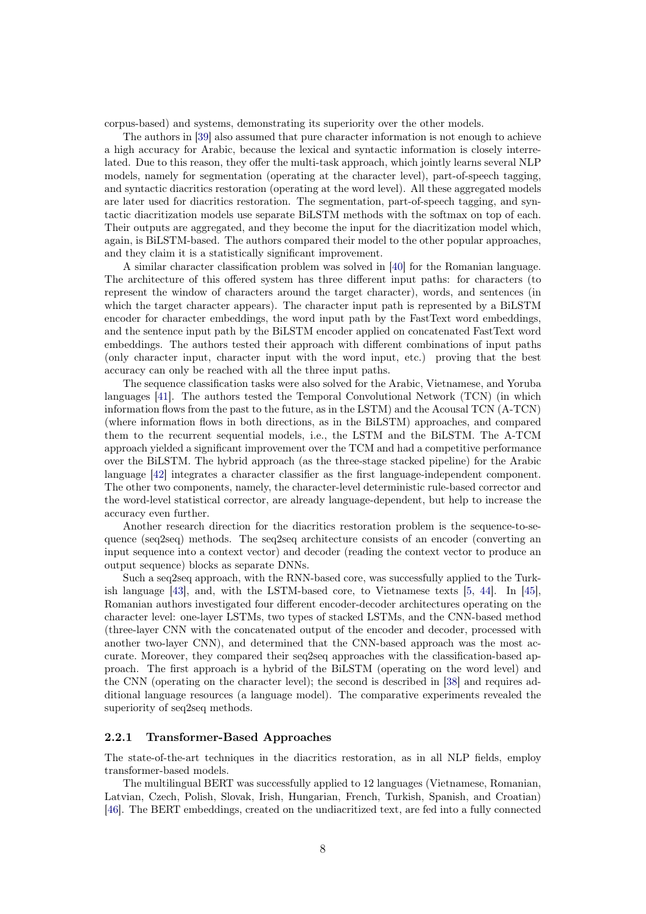corpus-based) and systems, demonstrating its superiority over the other models.

The authors in [\[39\]](#page-31-9) also assumed that pure character information is not enough to achieve a high accuracy for Arabic, because the lexical and syntactic information is closely interrelated. Due to this reason, they offer the multi-task approach, which jointly learns several NLP models, namely for segmentation (operating at the character level), part-of-speech tagging, and syntactic diacritics restoration (operating at the word level). All these aggregated models are later used for diacritics restoration. The segmentation, part-of-speech tagging, and syntactic diacritization models use separate BiLSTM methods with the softmax on top of each. Their outputs are aggregated, and they become the input for the diacritization model which, again, is BiLSTM-based. The authors compared their model to the other popular approaches, and they claim it is a statistically significant improvement.

A similar character classification problem was solved in [\[40\]](#page-31-10) for the Romanian language. The architecture of this offered system has three different input paths: for characters (to represent the window of characters around the target character), words, and sentences (in which the target character appears). The character input path is represented by a BiLSTM encoder for character embeddings, the word input path by the FastText word embeddings, and the sentence input path by the BiLSTM encoder applied on concatenated FastText word embeddings. The authors tested their approach with different combinations of input paths (only character input, character input with the word input, etc.) proving that the best accuracy can only be reached with all the three input paths.

The sequence classification tasks were also solved for the Arabic, Vietnamese, and Yoruba languages [\[41\]](#page-31-11). The authors tested the Temporal Convolutional Network (TCN) (in which information flows from the past to the future, as in the LSTM) and the Acousal TCN (A-TCN) (where information flows in both directions, as in the BiLSTM) approaches, and compared them to the recurrent sequential models, i.e., the LSTM and the BiLSTM. The A-TCM approach yielded a significant improvement over the TCM and had a competitive performance over the BiLSTM. The hybrid approach (as the three-stage stacked pipeline) for the Arabic language [\[42\]](#page-31-12) integrates a character classifier as the first language-independent component. The other two components, namely, the character-level deterministic rule-based corrector and the word-level statistical corrector, are already language-dependent, but help to increase the accuracy even further.

Another research direction for the diacritics restoration problem is the sequence-to-sequence (seq2seq) methods. The seq2seq architecture consists of an encoder (converting an input sequence into a context vector) and decoder (reading the context vector to produce an output sequence) blocks as separate DNNs.

Such a seq2seq approach, with the RNN-based core, was successfully applied to the Turkish language [\[43\]](#page-31-13), and, with the LSTM-based core, to Vietnamese texts [\[5,](#page-29-1) [44\]](#page-31-14). In [\[45\]](#page-32-0), Romanian authors investigated four different encoder-decoder architectures operating on the character level: one-layer LSTMs, two types of stacked LSTMs, and the CNN-based method (three-layer CNN with the concatenated output of the encoder and decoder, processed with another two-layer CNN), and determined that the CNN-based approach was the most accurate. Moreover, they compared their seq2seq approaches with the classification-based approach. The first approach is a hybrid of the BiLSTM (operating on the word level) and the CNN (operating on the character level); the second is described in [\[38\]](#page-31-8) and requires additional language resources (a language model). The comparative experiments revealed the superiority of seq2seq methods.

#### 2.2.1 Transformer-Based Approaches

The state-of-the-art techniques in the diacritics restoration, as in all NLP fields, employ transformer-based models.

The multilingual BERT was successfully applied to 12 languages (Vietnamese, Romanian, Latvian, Czech, Polish, Slovak, Irish, Hungarian, French, Turkish, Spanish, and Croatian) [\[46\]](#page-32-1). The BERT embeddings, created on the undiacritized text, are fed into a fully connected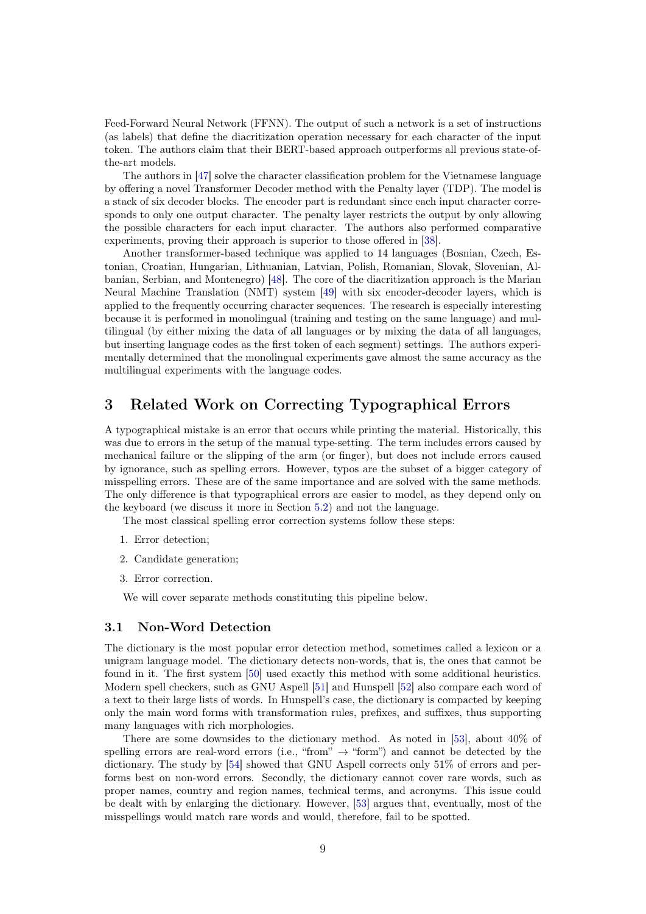Feed-Forward Neural Network (FFNN). The output of such a network is a set of instructions (as labels) that define the diacritization operation necessary for each character of the input token. The authors claim that their BERT-based approach outperforms all previous state-ofthe-art models.

The authors in [\[47\]](#page-32-2) solve the character classification problem for the Vietnamese language by offering a novel Transformer Decoder method with the Penalty layer (TDP). The model is a stack of six decoder blocks. The encoder part is redundant since each input character corresponds to only one output character. The penalty layer restricts the output by only allowing the possible characters for each input character. The authors also performed comparative experiments, proving their approach is superior to those offered in [\[38\]](#page-31-8).

Another transformer-based technique was applied to 14 languages (Bosnian, Czech, Estonian, Croatian, Hungarian, Lithuanian, Latvian, Polish, Romanian, Slovak, Slovenian, Albanian, Serbian, and Montenegro) [\[48\]](#page-32-3). The core of the diacritization approach is the Marian Neural Machine Translation (NMT) system [\[49\]](#page-32-4) with six encoder-decoder layers, which is applied to the frequently occurring character sequences. The research is especially interesting because it is performed in monolingual (training and testing on the same language) and multilingual (by either mixing the data of all languages or by mixing the data of all languages, but inserting language codes as the first token of each segment) settings. The authors experimentally determined that the monolingual experiments gave almost the same accuracy as the multilingual experiments with the language codes.

# <span id="page-8-0"></span>3 Related Work on Correcting Typographical Errors

A typographical mistake is an error that occurs while printing the material. Historically, this was due to errors in the setup of the manual type-setting. The term includes errors caused by mechanical failure or the slipping of the arm (or finger), but does not include errors caused by ignorance, such as spelling errors. However, typos are the subset of a bigger category of misspelling errors. These are of the same importance and are solved with the same methods. The only difference is that typographical errors are easier to model, as they depend only on the keyboard (we discuss it more in Section [5.2\)](#page-17-1) and not the language.

The most classical spelling error correction systems follow these steps:

- 1. Error detection;
- 2. Candidate generation;
- 3. Error correction.

We will cover separate methods constituting this pipeline below.

#### 3.1 Non-Word Detection

The dictionary is the most popular error detection method, sometimes called a lexicon or a unigram language model. The dictionary detects non-words, that is, the ones that cannot be found in it. The first system [\[50\]](#page-32-5) used exactly this method with some additional heuristics. Modern spell checkers, such as GNU Aspell [\[51\]](#page-32-6) and Hunspell [\[52\]](#page-32-7) also compare each word of a text to their large lists of words. In Hunspell's case, the dictionary is compacted by keeping only the main word forms with transformation rules, prefixes, and suffixes, thus supporting many languages with rich morphologies.

There are some downsides to the dictionary method. As noted in [\[53\]](#page-32-8), about 40% of spelling errors are real-word errors (i.e., "from"  $\rightarrow$  "form") and cannot be detected by the dictionary. The study by [\[54\]](#page-32-9) showed that GNU Aspell corrects only 51% of errors and performs best on non-word errors. Secondly, the dictionary cannot cover rare words, such as proper names, country and region names, technical terms, and acronyms. This issue could be dealt with by enlarging the dictionary. However, [\[53\]](#page-32-8) argues that, eventually, most of the misspellings would match rare words and would, therefore, fail to be spotted.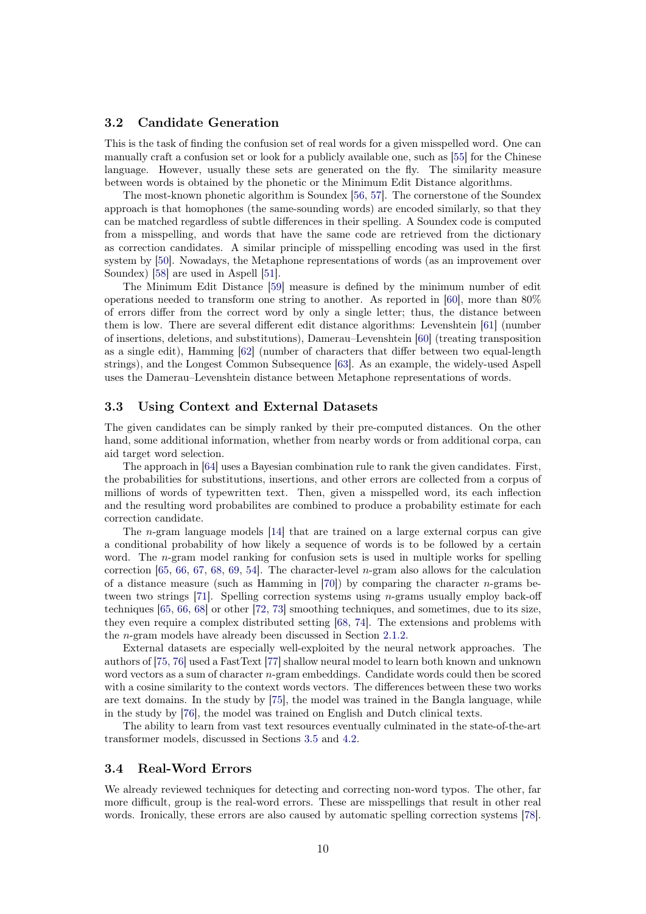#### <span id="page-9-0"></span>3.2 Candidate Generation

This is the task of finding the confusion set of real words for a given misspelled word. One can manually craft a confusion set or look for a publicly available one, such as [\[55\]](#page-32-10) for the Chinese language. However, usually these sets are generated on the fly. The similarity measure between words is obtained by the phonetic or the Minimum Edit Distance algorithms.

The most-known phonetic algorithm is Soundex [\[56,](#page-32-11) [57\]](#page-32-12). The cornerstone of the Soundex approach is that homophones (the same-sounding words) are encoded similarly, so that they can be matched regardless of subtle differences in their spelling. A Soundex code is computed from a misspelling, and words that have the same code are retrieved from the dictionary as correction candidates. A similar principle of misspelling encoding was used in the first system by [\[50\]](#page-32-5). Nowadays, the Metaphone representations of words (as an improvement over Soundex) [\[58\]](#page-32-13) are used in Aspell [\[51\]](#page-32-6).

The Minimum Edit Distance [\[59\]](#page-32-14) measure is defined by the minimum number of edit operations needed to transform one string to another. As reported in [\[60\]](#page-32-15), more than 80% of errors differ from the correct word by only a single letter; thus, the distance between them is low. There are several different edit distance algorithms: Levenshtein [\[61\]](#page-32-16) (number of insertions, deletions, and substitutions), Damerau–Levenshtein [\[60\]](#page-32-15) (treating transposition as a single edit), Hamming [\[62\]](#page-33-0) (number of characters that differ between two equal-length strings), and the Longest Common Subsequence [\[63\]](#page-33-1). As an example, the widely-used Aspell uses the Damerau–Levenshtein distance between Metaphone representations of words.

#### 3.3 Using Context and External Datasets

The given candidates can be simply ranked by their pre-computed distances. On the other hand, some additional information, whether from nearby words or from additional corpa, can aid target word selection.

The approach in [\[64\]](#page-33-2) uses a Bayesian combination rule to rank the given candidates. First, the probabilities for substitutions, insertions, and other errors are collected from a corpus of millions of words of typewritten text. Then, given a misspelled word, its each inflection and the resulting word probabilites are combined to produce a probability estimate for each correction candidate.

The n-gram language models [\[14\]](#page-29-10) that are trained on a large external corpus can give a conditional probability of how likely a sequence of words is to be followed by a certain word. The *n*-gram model ranking for confusion sets is used in multiple works for spelling correction  $[65, 66, 67, 68, 69, 54]$  $[65, 66, 67, 68, 69, 54]$  $[65, 66, 67, 68, 69, 54]$  $[65, 66, 67, 68, 69, 54]$  $[65, 66, 67, 68, 69, 54]$  $[65, 66, 67, 68, 69, 54]$  $[65, 66, 67, 68, 69, 54]$  $[65, 66, 67, 68, 69, 54]$  $[65, 66, 67, 68, 69, 54]$  $[65, 66, 67, 68, 69, 54]$  $[65, 66, 67, 68, 69, 54]$ . The character-level *n*-gram also allows for the calculation of a distance measure (such as Hamming in [\[70\]](#page-33-8)) by comparing the character  $n$ -grams be-tween two strings [\[71\]](#page-33-9). Spelling correction systems using  $n$ -grams usually employ back-off techniques [\[65,](#page-33-3) [66,](#page-33-4) [68\]](#page-33-6) or other [\[72,](#page-33-10) [73\]](#page-33-11) smoothing techniques, and sometimes, due to its size, they even require a complex distributed setting [\[68,](#page-33-6) [74\]](#page-33-12). The extensions and problems with the n-gram models have already been discussed in Section [2.1.2.](#page-2-1)

External datasets are especially well-exploited by the neural network approaches. The authors of [\[75,](#page-33-13) [76\]](#page-33-14) used a FastText [\[77\]](#page-34-0) shallow neural model to learn both known and unknown word vectors as a sum of character n-gram embeddings. Candidate words could then be scored with a cosine similarity to the context words vectors. The differences between these two works are text domains. In the study by [\[75\]](#page-33-13), the model was trained in the Bangla language, while in the study by [\[76\]](#page-33-14), the model was trained on English and Dutch clinical texts.

The ability to learn from vast text resources eventually culminated in the state-of-the-art transformer models, discussed in Sections [3.5](#page-10-1) and [4.2.](#page-12-0)

# 3.4 Real-Word Errors

We already reviewed techniques for detecting and correcting non-word typos. The other, far more difficult, group is the real-word errors. These are misspellings that result in other real words. Ironically, these errors are also caused by automatic spelling correction systems [\[78\]](#page-34-1).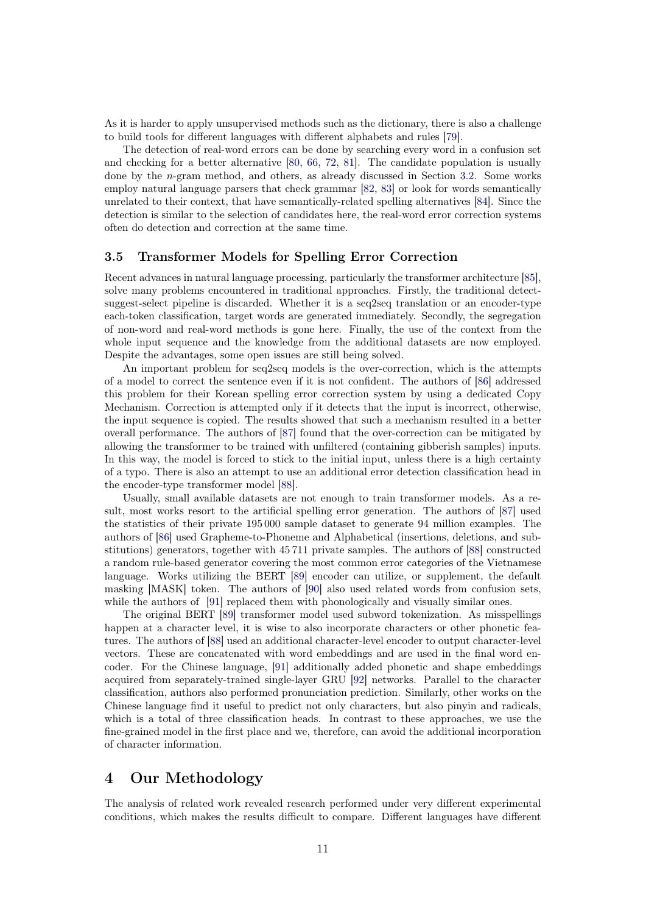As it is harder to apply unsupervised methods such as the dictionary, there is also a challenge to build tools for different languages with different alphabets and rules [\[79\]](#page-34-2).

The detection of real-word errors can be done by searching every word in a confusion set and checking for a better alternative [\[80,](#page-34-3) [66,](#page-33-4) [72,](#page-33-10) [81\]](#page-34-4). The candidate population is usually done by the n-gram method, and others, as already discussed in Section [3.2.](#page-9-0) Some works employ natural language parsers that check grammar [\[82,](#page-34-5) [83\]](#page-34-6) or look for words semantically unrelated to their context, that have semantically-related spelling alternatives [\[84\]](#page-34-7). Since the detection is similar to the selection of candidates here, the real-word error correction systems often do detection and correction at the same time.

# <span id="page-10-1"></span>3.5 Transformer Models for Spelling Error Correction

Recent advances in natural language processing, particularly the transformer architecture [\[85\]](#page-34-8), solve many problems encountered in traditional approaches. Firstly, the traditional detectsuggest-select pipeline is discarded. Whether it is a seq2seq translation or an encoder-type each-token classification, target words are generated immediately. Secondly, the segregation of non-word and real-word methods is gone here. Finally, the use of the context from the whole input sequence and the knowledge from the additional datasets are now employed. Despite the advantages, some open issues are still being solved.

An important problem for seq2seq models is the over-correction, which is the attempts of a model to correct the sentence even if it is not confident. The authors of [\[86\]](#page-34-9) addressed this problem for their Korean spelling error correction system by using a dedicated Copy Mechanism. Correction is attempted only if it detects that the input is incorrect, otherwise, the input sequence is copied. The results showed that such a mechanism resulted in a better overall performance. The authors of [\[87\]](#page-34-10) found that the over-correction can be mitigated by allowing the transformer to be trained with unfiltered (containing gibberish samples) inputs. In this way, the model is forced to stick to the initial input, unless there is a high certainty of a typo. There is also an attempt to use an additional error detection classification head in the encoder-type transformer model [\[88\]](#page-34-11).

Usually, small available datasets are not enough to train transformer models. As a result, most works resort to the artificial spelling error generation. The authors of [\[87\]](#page-34-10) used the statistics of their private 195 000 sample dataset to generate 94 million examples. The authors of [\[86\]](#page-34-9) used Grapheme-to-Phoneme and Alphabetical (insertions, deletions, and substitutions) generators, together with 45 711 private samples. The authors of [\[88\]](#page-34-11) constructed a random rule-based generator covering the most common error categories of the Vietnamese language. Works utilizing the BERT [\[89\]](#page-34-12) encoder can utilize, or supplement, the default masking [MASK] token. The authors of [\[90\]](#page-35-0) also used related words from confusion sets, while the authors of [\[91\]](#page-35-1) replaced them with phonologically and visually similar ones.

The original BERT [\[89\]](#page-34-12) transformer model used subword tokenization. As misspellings happen at a character level, it is wise to also incorporate characters or other phonetic features. The authors of [\[88\]](#page-34-11) used an additional character-level encoder to output character-level vectors. These are concatenated with word embeddings and are used in the final word encoder. For the Chinese language, [\[91\]](#page-35-1) additionally added phonetic and shape embeddings acquired from separately-trained single-layer GRU [\[92\]](#page-35-2) networks. Parallel to the character classification, authors also performed pronunciation prediction. Similarly, other works on the Chinese language find it useful to predict not only characters, but also pinyin and radicals, which is a total of three classification heads. In contrast to these approaches, we use the fine-grained model in the first place and we, therefore, can avoid the additional incorporation of character information.

# <span id="page-10-0"></span>4 Our Methodology

The analysis of related work revealed research performed under very different experimental conditions, which makes the results difficult to compare. Different languages have different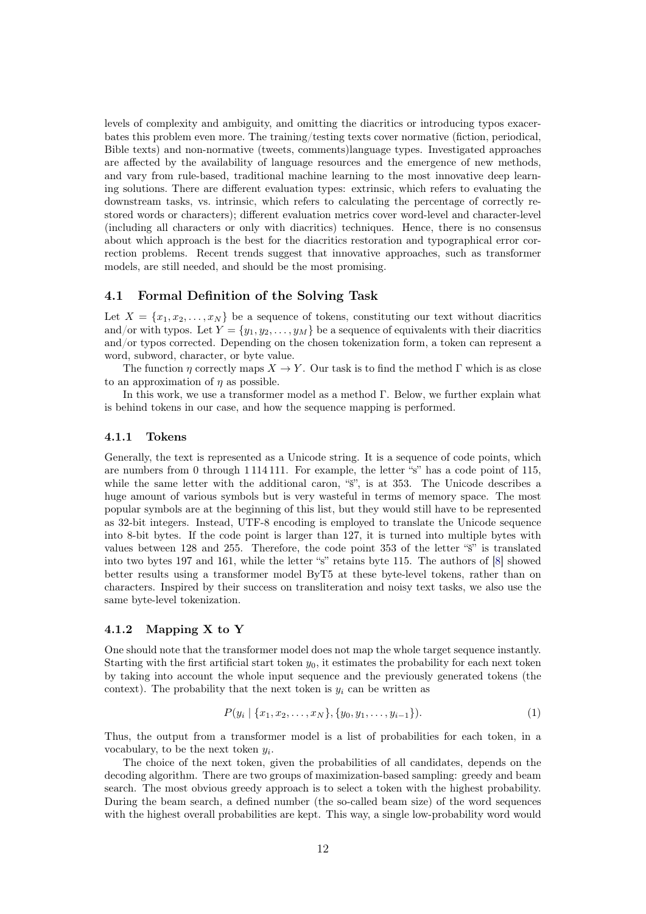levels of complexity and ambiguity, and omitting the diacritics or introducing typos exacerbates this problem even more. The training/testing texts cover normative (fiction, periodical, Bible texts) and non-normative (tweets, comments)language types. Investigated approaches are affected by the availability of language resources and the emergence of new methods, and vary from rule-based, traditional machine learning to the most innovative deep learning solutions. There are different evaluation types: extrinsic, which refers to evaluating the downstream tasks, vs. intrinsic, which refers to calculating the percentage of correctly restored words or characters); different evaluation metrics cover word-level and character-level (including all characters or only with diacritics) techniques. Hence, there is no consensus about which approach is the best for the diacritics restoration and typographical error correction problems. Recent trends suggest that innovative approaches, such as transformer models, are still needed, and should be the most promising.

#### 4.1 Formal Definition of the Solving Task

Let  $X = \{x_1, x_2, \ldots, x_N\}$  be a sequence of tokens, constituting our text without diacritics and/or with typos. Let  $Y = \{y_1, y_2, \ldots, y_M\}$  be a sequence of equivalents with their diacritics and/or typos corrected. Depending on the chosen tokenization form, a token can represent a word, subword, character, or byte value.

The function  $\eta$  correctly maps  $X \to Y$ . Our task is to find the method Γ which is as close to an approximation of  $\eta$  as possible.

In this work, we use a transformer model as a method  $\Gamma$ . Below, we further explain what is behind tokens in our case, and how the sequence mapping is performed.

#### 4.1.1 Tokens

Generally, the text is represented as a Unicode string. It is a sequence of code points, which are numbers from 0 through 1 114 111. For example, the letter "s" has a code point of 115, while the same letter with the additional caron, " $\tilde{s}$ ", is at 353. The Unicode describes a huge amount of various symbols but is very wasteful in terms of memory space. The most popular symbols are at the beginning of this list, but they would still have to be represented as 32-bit integers. Instead, UTF-8 encoding is employed to translate the Unicode sequence into 8-bit bytes. If the code point is larger than 127, it is turned into multiple bytes with values between 128 and 255. Therefore, the code point 353 of the letter "š" is translated into two bytes 197 and 161, while the letter "s" retains byte 115. The authors of [\[8\]](#page-29-4) showed better results using a transformer model ByT5 at these byte-level tokens, rather than on characters. Inspired by their success on transliteration and noisy text tasks, we also use the same byte-level tokenization.

#### 4.1.2 Mapping X to Y

One should note that the transformer model does not map the whole target sequence instantly. Starting with the first artificial start token  $y_0$ , it estimates the probability for each next token by taking into account the whole input sequence and the previously generated tokens (the context). The probability that the next token is  $y_i$  can be written as

$$
P(y_i \mid \{x_1, x_2, \dots, x_N\}, \{y_0, y_1, \dots, y_{i-1}\}).
$$
\n<sup>(1)</sup>

Thus, the output from a transformer model is a list of probabilities for each token, in a vocabulary, to be the next token  $y_i$ .

The choice of the next token, given the probabilities of all candidates, depends on the decoding algorithm. There are two groups of maximization-based sampling: greedy and beam search. The most obvious greedy approach is to select a token with the highest probability. During the beam search, a defined number (the so-called beam size) of the word sequences with the highest overall probabilities are kept. This way, a single low-probability word would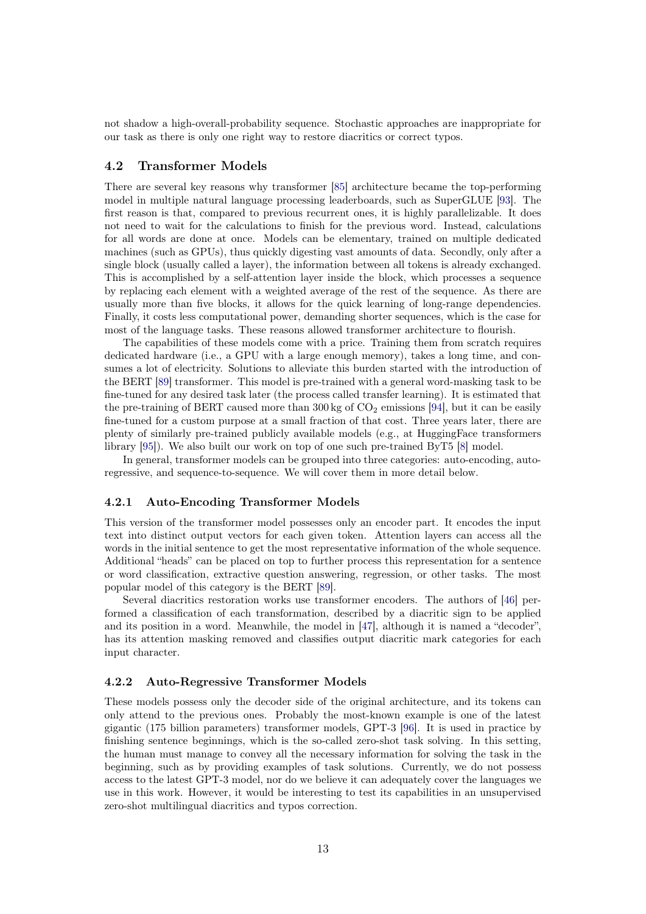not shadow a high-overall-probability sequence. Stochastic approaches are inappropriate for our task as there is only one right way to restore diacritics or correct typos.

#### <span id="page-12-0"></span>4.2 Transformer Models

There are several key reasons why transformer [\[85\]](#page-34-8) architecture became the top-performing model in multiple natural language processing leaderboards, such as SuperGLUE [\[93\]](#page-35-3). The first reason is that, compared to previous recurrent ones, it is highly parallelizable. It does not need to wait for the calculations to finish for the previous word. Instead, calculations for all words are done at once. Models can be elementary, trained on multiple dedicated machines (such as GPUs), thus quickly digesting vast amounts of data. Secondly, only after a single block (usually called a layer), the information between all tokens is already exchanged. This is accomplished by a self-attention layer inside the block, which processes a sequence by replacing each element with a weighted average of the rest of the sequence. As there are usually more than five blocks, it allows for the quick learning of long-range dependencies. Finally, it costs less computational power, demanding shorter sequences, which is the case for most of the language tasks. These reasons allowed transformer architecture to flourish.

The capabilities of these models come with a price. Training them from scratch requires dedicated hardware (i.e., a GPU with a large enough memory), takes a long time, and consumes a lot of electricity. Solutions to alleviate this burden started with the introduction of the BERT [\[89\]](#page-34-12) transformer. This model is pre-trained with a general word-masking task to be fine-tuned for any desired task later (the process called transfer learning). It is estimated that the pre-training of BERT caused more than  $300 \text{ kg}$  of  $\text{CO}_2$  emissions [\[94\]](#page-35-4), but it can be easily fine-tuned for a custom purpose at a small fraction of that cost. Three years later, there are plenty of similarly pre-trained publicly available models (e.g., at HuggingFace transformers library [\[95\]](#page-35-5)). We also built our work on top of one such pre-trained ByT5 [\[8\]](#page-29-4) model.

In general, transformer models can be grouped into three categories: auto-encoding, autoregressive, and sequence-to-sequence. We will cover them in more detail below.

#### 4.2.1 Auto-Encoding Transformer Models

This version of the transformer model possesses only an encoder part. It encodes the input text into distinct output vectors for each given token. Attention layers can access all the words in the initial sentence to get the most representative information of the whole sequence. Additional "heads" can be placed on top to further process this representation for a sentence or word classification, extractive question answering, regression, or other tasks. The most popular model of this category is the BERT [\[89\]](#page-34-12).

Several diacritics restoration works use transformer encoders. The authors of [\[46\]](#page-32-1) performed a classification of each transformation, described by a diacritic sign to be applied and its position in a word. Meanwhile, the model in [\[47\]](#page-32-2), although it is named a "decoder", has its attention masking removed and classifies output diacritic mark categories for each input character.

#### 4.2.2 Auto-Regressive Transformer Models

These models possess only the decoder side of the original architecture, and its tokens can only attend to the previous ones. Probably the most-known example is one of the latest gigantic (175 billion parameters) transformer models, GPT-3 [\[96\]](#page-35-6). It is used in practice by finishing sentence beginnings, which is the so-called zero-shot task solving. In this setting, the human must manage to convey all the necessary information for solving the task in the beginning, such as by providing examples of task solutions. Currently, we do not possess access to the latest GPT-3 model, nor do we believe it can adequately cover the languages we use in this work. However, it would be interesting to test its capabilities in an unsupervised zero-shot multilingual diacritics and typos correction.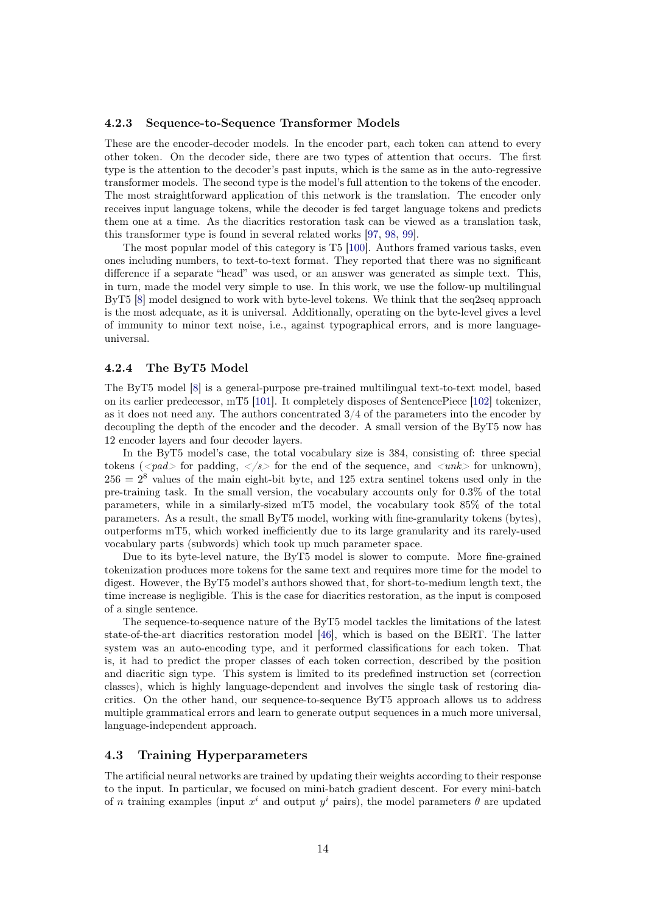#### 4.2.3 Sequence-to-Sequence Transformer Models

These are the encoder-decoder models. In the encoder part, each token can attend to every other token. On the decoder side, there are two types of attention that occurs. The first type is the attention to the decoder's past inputs, which is the same as in the auto-regressive transformer models. The second type is the model's full attention to the tokens of the encoder. The most straightforward application of this network is the translation. The encoder only receives input language tokens, while the decoder is fed target language tokens and predicts them one at a time. As the diacritics restoration task can be viewed as a translation task, this transformer type is found in several related works [\[97,](#page-35-7) [98,](#page-35-8) [99\]](#page-35-9).

The most popular model of this category is T5 [\[100\]](#page-36-0). Authors framed various tasks, even ones including numbers, to text-to-text format. They reported that there was no significant difference if a separate "head" was used, or an answer was generated as simple text. This, in turn, made the model very simple to use. In this work, we use the follow-up multilingual ByT5 [\[8\]](#page-29-4) model designed to work with byte-level tokens. We think that the seq2seq approach is the most adequate, as it is universal. Additionally, operating on the byte-level gives a level of immunity to minor text noise, i.e., against typographical errors, and is more languageuniversal.

#### 4.2.4 The ByT5 Model

The ByT5 model [\[8\]](#page-29-4) is a general-purpose pre-trained multilingual text-to-text model, based on its earlier predecessor, mT5 [\[101\]](#page-36-1). It completely disposes of SentencePiece [\[102\]](#page-36-2) tokenizer, as it does not need any. The authors concentrated 3/4 of the parameters into the encoder by decoupling the depth of the encoder and the decoder. A small version of the ByT5 now has 12 encoder layers and four decoder layers.

In the ByT5 model's case, the total vocabulary size is 384, consisting of: three special tokens ( $\langle$ pad $>$  for padding,  $\langle$ /s $>$  for the end of the sequence, and  $\langle$ unk $>$  for unknown),  $256 = 2<sup>8</sup>$  values of the main eight-bit byte, and 125 extra sentinel tokens used only in the pre-training task. In the small version, the vocabulary accounts only for 0.3% of the total parameters, while in a similarly-sized mT5 model, the vocabulary took 85% of the total parameters. As a result, the small ByT5 model, working with fine-granularity tokens (bytes), outperforms mT5, which worked inefficiently due to its large granularity and its rarely-used vocabulary parts (subwords) which took up much parameter space.

Due to its byte-level nature, the ByT5 model is slower to compute. More fine-grained tokenization produces more tokens for the same text and requires more time for the model to digest. However, the ByT5 model's authors showed that, for short-to-medium length text, the time increase is negligible. This is the case for diacritics restoration, as the input is composed of a single sentence.

The sequence-to-sequence nature of the ByT5 model tackles the limitations of the latest state-of-the-art diacritics restoration model [\[46\]](#page-32-1), which is based on the BERT. The latter system was an auto-encoding type, and it performed classifications for each token. That is, it had to predict the proper classes of each token correction, described by the position and diacritic sign type. This system is limited to its predefined instruction set (correction classes), which is highly language-dependent and involves the single task of restoring diacritics. On the other hand, our sequence-to-sequence ByT5 approach allows us to address multiple grammatical errors and learn to generate output sequences in a much more universal, language-independent approach.

#### 4.3 Training Hyperparameters

The artificial neural networks are trained by updating their weights according to their response to the input. In particular, we focused on mini-batch gradient descent. For every mini-batch of n training examples (input  $x^i$  and output  $y^i$  pairs), the model parameters  $\theta$  are updated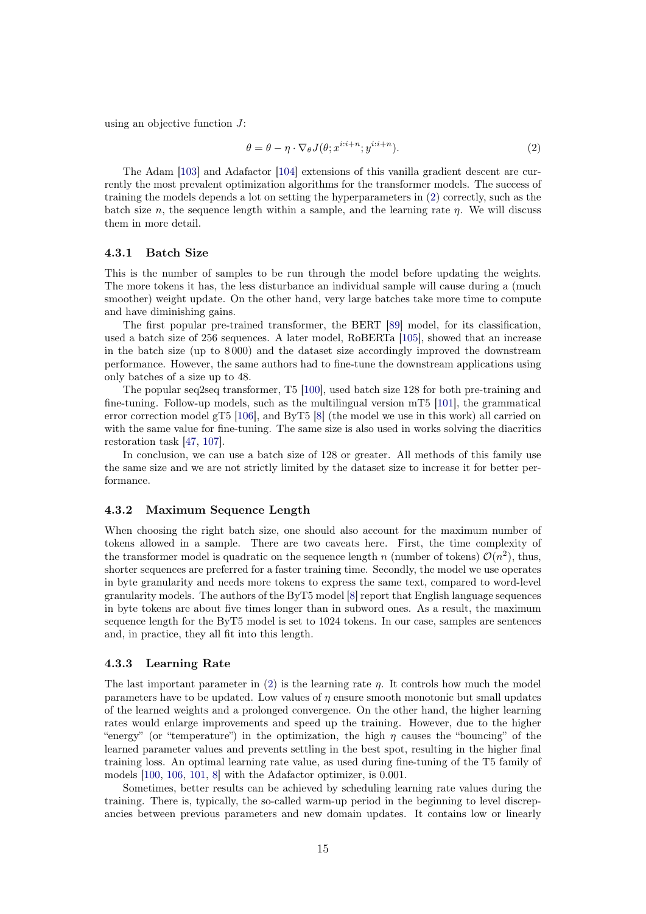using an objective function  $J$ :

<span id="page-14-0"></span>
$$
\theta = \theta - \eta \cdot \nabla_{\theta} J(\theta; x^{i:i+n}; y^{i:i+n}). \tag{2}
$$

The Adam [\[103\]](#page-36-3) and Adafactor [\[104\]](#page-36-4) extensions of this vanilla gradient descent are currently the most prevalent optimization algorithms for the transformer models. The success of training the models depends a lot on setting the hyperparameters in [\(2\)](#page-14-0) correctly, such as the batch size n, the sequence length within a sample, and the learning rate  $\eta$ . We will discuss them in more detail.

#### 4.3.1 Batch Size

This is the number of samples to be run through the model before updating the weights. The more tokens it has, the less disturbance an individual sample will cause during a (much smoother) weight update. On the other hand, very large batches take more time to compute and have diminishing gains.

The first popular pre-trained transformer, the BERT [\[89\]](#page-34-12) model, for its classification, used a batch size of 256 sequences. A later model, RoBERTa [\[105\]](#page-36-5), showed that an increase in the batch size (up to 8 000) and the dataset size accordingly improved the downstream performance. However, the same authors had to fine-tune the downstream applications using only batches of a size up to 48.

The popular seq2seq transformer, T5 [\[100\]](#page-36-0), used batch size 128 for both pre-training and fine-tuning. Follow-up models, such as the multilingual version mT5 [\[101\]](#page-36-1), the grammatical error correction model gT5 [\[106\]](#page-36-6), and ByT5 [\[8\]](#page-29-4) (the model we use in this work) all carried on with the same value for fine-tuning. The same size is also used in works solving the diacritics restoration task [\[47,](#page-32-2) [107\]](#page-36-7).

In conclusion, we can use a batch size of 128 or greater. All methods of this family use the same size and we are not strictly limited by the dataset size to increase it for better performance.

#### 4.3.2 Maximum Sequence Length

When choosing the right batch size, one should also account for the maximum number of tokens allowed in a sample. There are two caveats here. First, the time complexity of the transformer model is quadratic on the sequence length n (number of tokens)  $\mathcal{O}(n^2)$ , thus, shorter sequences are preferred for a faster training time. Secondly, the model we use operates in byte granularity and needs more tokens to express the same text, compared to word-level granularity models. The authors of the ByT5 model [\[8\]](#page-29-4) report that English language sequences in byte tokens are about five times longer than in subword ones. As a result, the maximum sequence length for the ByT5 model is set to 1024 tokens. In our case, samples are sentences and, in practice, they all fit into this length.

# 4.3.3 Learning Rate

The last important parameter in [\(2\)](#page-14-0) is the learning rate  $\eta$ . It controls how much the model parameters have to be updated. Low values of  $\eta$  ensure smooth monotonic but small updates of the learned weights and a prolonged convergence. On the other hand, the higher learning rates would enlarge improvements and speed up the training. However, due to the higher "energy" (or "temperature") in the optimization, the high  $\eta$  causes the "bouncing" of the learned parameter values and prevents settling in the best spot, resulting in the higher final training loss. An optimal learning rate value, as used during fine-tuning of the T5 family of models [\[100,](#page-36-0) [106,](#page-36-6) [101,](#page-36-1) [8\]](#page-29-4) with the Adafactor optimizer, is 0.001.

Sometimes, better results can be achieved by scheduling learning rate values during the training. There is, typically, the so-called warm-up period in the beginning to level discrepancies between previous parameters and new domain updates. It contains low or linearly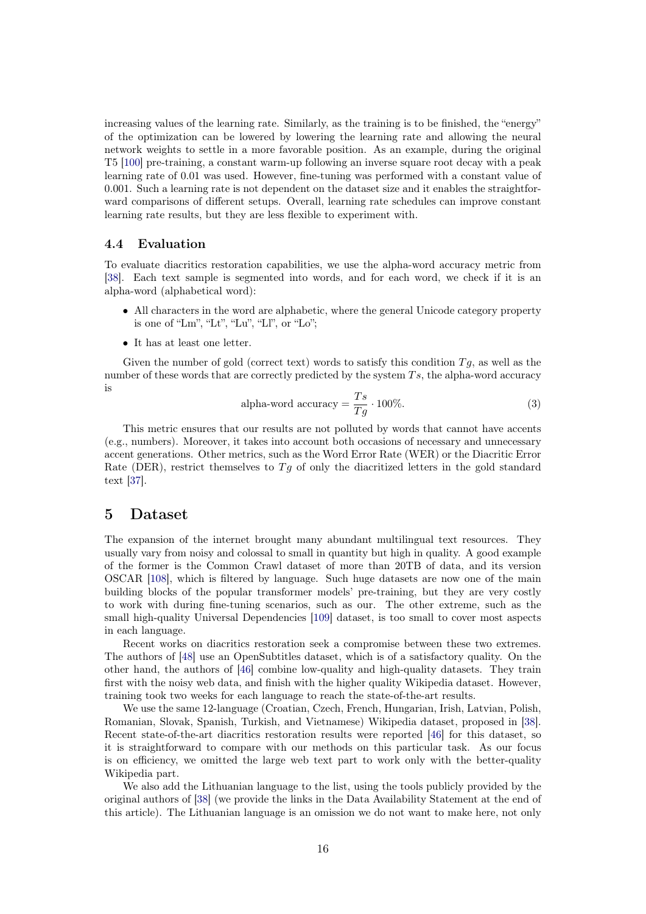increasing values of the learning rate. Similarly, as the training is to be finished, the "energy" of the optimization can be lowered by lowering the learning rate and allowing the neural network weights to settle in a more favorable position. As an example, during the original T5 [\[100\]](#page-36-0) pre-training, a constant warm-up following an inverse square root decay with a peak learning rate of 0.01 was used. However, fine-tuning was performed with a constant value of 0.001. Such a learning rate is not dependent on the dataset size and it enables the straightforward comparisons of different setups. Overall, learning rate schedules can improve constant learning rate results, but they are less flexible to experiment with.

# 4.4 Evaluation

To evaluate diacritics restoration capabilities, we use the alpha-word accuracy metric from [\[38\]](#page-31-8). Each text sample is segmented into words, and for each word, we check if it is an alpha-word (alphabetical word):

- All characters in the word are alphabetic, where the general Unicode category property is one of "Lm", "Lt", "Lu", "Ll", or "Lo";
- It has at least one letter.

Given the number of gold (correct text) words to satisfy this condition  $Tq$ , as well as the number of these words that are correctly predicted by the system  $Ts$ , the alpha-word accuracy is

alpha-word accuracy = 
$$
\frac{T_s}{T_g} \cdot 100\%
$$
. (3)

This metric ensures that our results are not polluted by words that cannot have accents (e.g., numbers). Moreover, it takes into account both occasions of necessary and unnecessary accent generations. Other metrics, such as the Word Error Rate (WER) or the Diacritic Error Rate (DER), restrict themselves to  $Tg$  of only the diacritized letters in the gold standard text [\[37\]](#page-31-7).

# <span id="page-15-0"></span>5 Dataset

The expansion of the internet brought many abundant multilingual text resources. They usually vary from noisy and colossal to small in quantity but high in quality. A good example of the former is the Common Crawl dataset of more than 20TB of data, and its version OSCAR [\[108\]](#page-36-8), which is filtered by language. Such huge datasets are now one of the main building blocks of the popular transformer models' pre-training, but they are very costly to work with during fine-tuning scenarios, such as our. The other extreme, such as the small high-quality Universal Dependencies [\[109\]](#page-36-9) dataset, is too small to cover most aspects in each language.

Recent works on diacritics restoration seek a compromise between these two extremes. The authors of [\[48\]](#page-32-3) use an OpenSubtitles dataset, which is of a satisfactory quality. On the other hand, the authors of [\[46\]](#page-32-1) combine low-quality and high-quality datasets. They train first with the noisy web data, and finish with the higher quality Wikipedia dataset. However, training took two weeks for each language to reach the state-of-the-art results.

We use the same 12-language (Croatian, Czech, French, Hungarian, Irish, Latvian, Polish, Romanian, Slovak, Spanish, Turkish, and Vietnamese) Wikipedia dataset, proposed in [\[38\]](#page-31-8). Recent state-of-the-art diacritics restoration results were reported [\[46\]](#page-32-1) for this dataset, so it is straightforward to compare with our methods on this particular task. As our focus is on efficiency, we omitted the large web text part to work only with the better-quality Wikipedia part.

We also add the Lithuanian language to the list, using the tools publicly provided by the original authors of [\[38\]](#page-31-8) (we provide the links in the Data Availability Statement at the end of this article). The Lithuanian language is an omission we do not want to make here, not only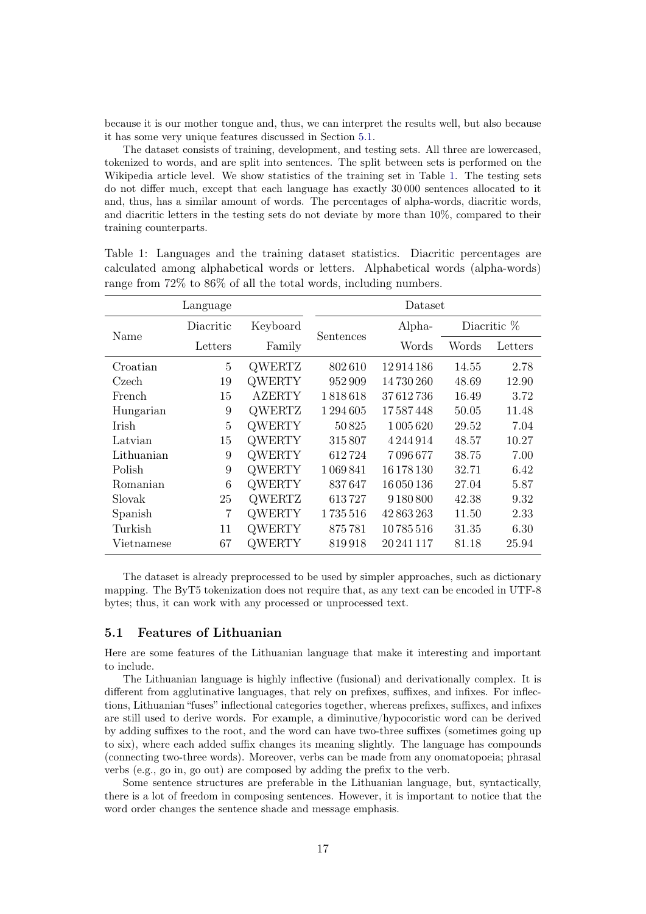because it is our mother tongue and, thus, we can interpret the results well, but also because it has some very unique features discussed in Section [5.1.](#page-16-0)

The dataset consists of training, development, and testing sets. All three are lowercased, tokenized to words, and are split into sentences. The split between sets is performed on the Wikipedia article level. We show statistics of the training set in Table [1.](#page-16-1) The testing sets do not differ much, except that each language has exactly 30 000 sentences allocated to it and, thus, has a similar amount of words. The percentages of alpha-words, diacritic words, and diacritic letters in the testing sets do not deviate by more than 10%, compared to their training counterparts.

| Language  |               | Dataset   |               |             |         |  |  |
|-----------|---------------|-----------|---------------|-------------|---------|--|--|
| Diacritic | Keyboard      |           | Alpha-        | Diacritic % |         |  |  |
| Letters   | Family        |           | Words         | Words       | Letters |  |  |
| 5         | <b>QWERTZ</b> | 802610    | 12914186      | 14.55       | 2.78    |  |  |
| 19        | <b>QWERTY</b> | 952909    | 14 730 260    | 48.69       | 12.90   |  |  |
| 15        | <b>AZERTY</b> | 1818618   | 37612736      | 16.49       | 3.72    |  |  |
| 9         | <b>OWERTZ</b> | 1 294 605 | 17587448      | 50.05       | 11.48   |  |  |
| 5         | <b>QWERTY</b> | 50825     | 1 005 620     | 29.52       | 7.04    |  |  |
| 15        | <b>QWERTY</b> | 315807    | 4 2 4 4 9 1 4 | 48.57       | 10.27   |  |  |
| 9         | <b>QWERTY</b> | 612724    | 7096677       | 38.75       | 7.00    |  |  |
| 9         | <b>QWERTY</b> | 1069841   | 16 178 130    | 32.71       | 6.42    |  |  |
| 6         | <b>QWERTY</b> | 837647    | 16 050 136    | 27.04       | 5.87    |  |  |
| 25        | <b>QWERTZ</b> | 613727    | 9 180 800     | 42.38       | 9.32    |  |  |
| 7         | <b>QWERTY</b> | 1735516   | 42 863 263    | 11.50       | 2.33    |  |  |
| 11        | <b>QWERTY</b> | 875781    | 10785516      | 31.35       | 6.30    |  |  |
| 67        | WERTY         | 819918    | 20 241 117    | 81.18       | 25.94   |  |  |
|           |               |           | Sentences     |             |         |  |  |

<span id="page-16-1"></span>Table 1: Languages and the training dataset statistics. Diacritic percentages are calculated among alphabetical words or letters. Alphabetical words (alpha-words) range from 72% to 86% of all the total words, including numbers.

The dataset is already preprocessed to be used by simpler approaches, such as dictionary mapping. The ByT5 tokenization does not require that, as any text can be encoded in UTF-8 bytes; thus, it can work with any processed or unprocessed text.

## <span id="page-16-0"></span>5.1 Features of Lithuanian

Here are some features of the Lithuanian language that make it interesting and important to include.

The Lithuanian language is highly inflective (fusional) and derivationally complex. It is different from agglutinative languages, that rely on prefixes, suffixes, and infixes. For inflections, Lithuanian "fuses" inflectional categories together, whereas prefixes, suffixes, and infixes are still used to derive words. For example, a diminutive/hypocoristic word can be derived by adding suffixes to the root, and the word can have two-three suffixes (sometimes going up to six), where each added suffix changes its meaning slightly. The language has compounds (connecting two-three words). Moreover, verbs can be made from any onomatopoeia; phrasal verbs (e.g., go in, go out) are composed by adding the prefix to the verb.

Some sentence structures are preferable in the Lithuanian language, but, syntactically, there is a lot of freedom in composing sentences. However, it is important to notice that the word order changes the sentence shade and message emphasis.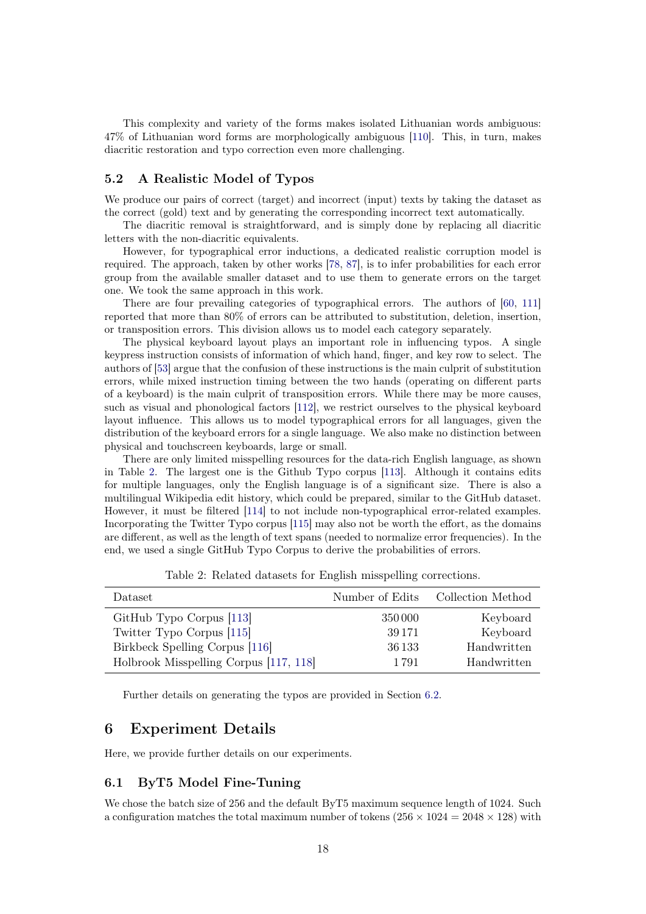This complexity and variety of the forms makes isolated Lithuanian words ambiguous: 47% of Lithuanian word forms are morphologically ambiguous [\[110\]](#page-36-10). This, in turn, makes diacritic restoration and typo correction even more challenging.

# <span id="page-17-1"></span>5.2 A Realistic Model of Typos

We produce our pairs of correct (target) and incorrect (input) texts by taking the dataset as the correct (gold) text and by generating the corresponding incorrect text automatically.

The diacritic removal is straightforward, and is simply done by replacing all diacritic letters with the non-diacritic equivalents.

However, for typographical error inductions, a dedicated realistic corruption model is required. The approach, taken by other works [\[78,](#page-34-1) [87\]](#page-34-10), is to infer probabilities for each error group from the available smaller dataset and to use them to generate errors on the target one. We took the same approach in this work.

There are four prevailing categories of typographical errors. The authors of [\[60,](#page-32-15) [111\]](#page-36-11) reported that more than 80% of errors can be attributed to substitution, deletion, insertion, or transposition errors. This division allows us to model each category separately.

The physical keyboard layout plays an important role in influencing typos. A single keypress instruction consists of information of which hand, finger, and key row to select. The authors of [\[53\]](#page-32-8) argue that the confusion of these instructions is the main culprit of substitution errors, while mixed instruction timing between the two hands (operating on different parts of a keyboard) is the main culprit of transposition errors. While there may be more causes, such as visual and phonological factors [\[112\]](#page-37-0), we restrict ourselves to the physical keyboard layout influence. This allows us to model typographical errors for all languages, given the distribution of the keyboard errors for a single language. We also make no distinction between physical and touchscreen keyboards, large or small.

There are only limited misspelling resources for the data-rich English language, as shown in Table [2.](#page-17-2) The largest one is the Github Typo corpus [\[113\]](#page-37-1). Although it contains edits for multiple languages, only the English language is of a significant size. There is also a multilingual Wikipedia edit history, which could be prepared, similar to the GitHub dataset. However, it must be filtered [\[114\]](#page-37-2) to not include non-typographical error-related examples. Incorporating the Twitter Typo corpus [\[115\]](#page-37-3) may also not be worth the effort, as the domains are different, as well as the length of text spans (needed to normalize error frequencies). In the end, we used a single GitHub Typo Corpus to derive the probabilities of errors.

<span id="page-17-2"></span>

| Dataset                                | Number of Edits | Collection Method |
|----------------------------------------|-----------------|-------------------|
| GitHub Typo Corpus [113]               | 350 000         | Keyboard          |
| Twitter Typo Corpus [115]              | 39 17 1         | Keyboard          |
| Birkbeck Spelling Corpus [116]         | 36 133          | Handwritten       |
| Holbrook Misspelling Corpus [117, 118] | 1 7 9 1         | Handwritten       |

Table 2: Related datasets for English misspelling corrections.

Further details on generating the typos are provided in Section [6.2.](#page-18-0)

# <span id="page-17-0"></span>6 Experiment Details

Here, we provide further details on our experiments.

## 6.1 ByT5 Model Fine-Tuning

We chose the batch size of 256 and the default ByT5 maximum sequence length of 1024. Such a configuration matches the total maximum number of tokens  $(256 \times 1024 = 2048 \times 128)$  with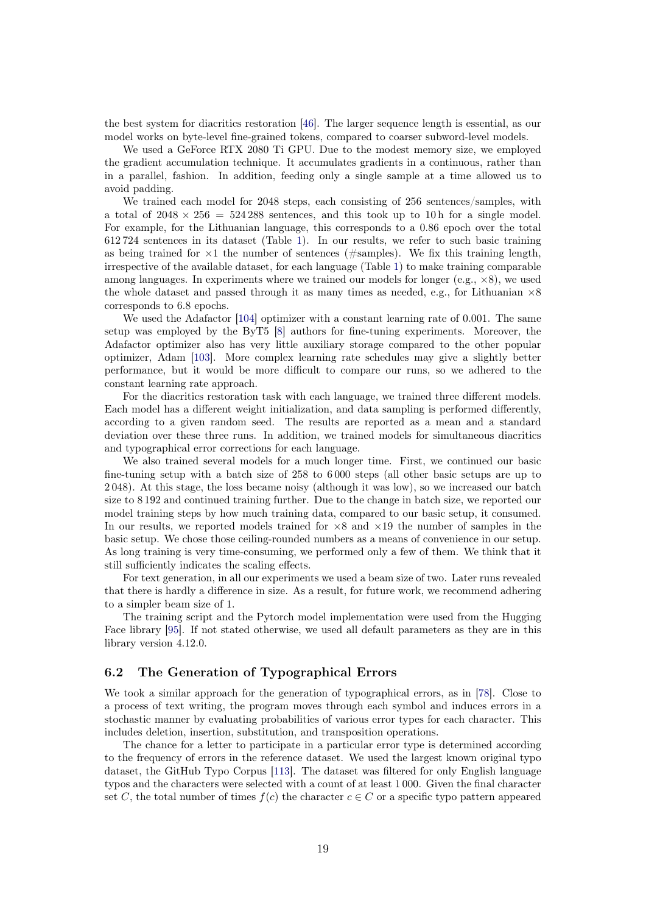the best system for diacritics restoration [\[46\]](#page-32-1). The larger sequence length is essential, as our model works on byte-level fine-grained tokens, compared to coarser subword-level models.

We used a GeForce RTX 2080 Ti GPU. Due to the modest memory size, we employed the gradient accumulation technique. It accumulates gradients in a continuous, rather than in a parallel, fashion. In addition, feeding only a single sample at a time allowed us to avoid padding.

We trained each model for 2048 steps, each consisting of 256 sentences/samples, with a total of  $2048 \times 256 = 524288$  sentences, and this took up to 10 h for a single model. For example, for the Lithuanian language, this corresponds to a 0.86 epoch over the total 612 724 sentences in its dataset (Table [1\)](#page-16-1). In our results, we refer to such basic training as being trained for  $\times 1$  the number of sentences (#samples). We fix this training length, irrespective of the available dataset, for each language (Table [1\)](#page-16-1) to make training comparable among languages. In experiments where we trained our models for longer (e.g.,  $\times 8$ ), we used the whole dataset and passed through it as many times as needed, e.g., for Lithuanian  $\times 8$ corresponds to 6.8 epochs.

We used the Adafactor [\[104\]](#page-36-4) optimizer with a constant learning rate of 0.001. The same setup was employed by the ByT5 [\[8\]](#page-29-4) authors for fine-tuning experiments. Moreover, the Adafactor optimizer also has very little auxiliary storage compared to the other popular optimizer, Adam [\[103\]](#page-36-3). More complex learning rate schedules may give a slightly better performance, but it would be more difficult to compare our runs, so we adhered to the constant learning rate approach.

For the diacritics restoration task with each language, we trained three different models. Each model has a different weight initialization, and data sampling is performed differently, according to a given random seed. The results are reported as a mean and a standard deviation over these three runs. In addition, we trained models for simultaneous diacritics and typographical error corrections for each language.

We also trained several models for a much longer time. First, we continued our basic fine-tuning setup with a batch size of 258 to 6 000 steps (all other basic setups are up to 2 048). At this stage, the loss became noisy (although it was low), so we increased our batch size to 8 192 and continued training further. Due to the change in batch size, we reported our model training steps by how much training data, compared to our basic setup, it consumed. In our results, we reported models trained for  $\times 8$  and  $\times 19$  the number of samples in the basic setup. We chose those ceiling-rounded numbers as a means of convenience in our setup. As long training is very time-consuming, we performed only a few of them. We think that it still sufficiently indicates the scaling effects.

For text generation, in all our experiments we used a beam size of two. Later runs revealed that there is hardly a difference in size. As a result, for future work, we recommend adhering to a simpler beam size of 1.

The training script and the Pytorch model implementation were used from the Hugging Face library [\[95\]](#page-35-5). If not stated otherwise, we used all default parameters as they are in this library version 4.12.0.

# <span id="page-18-0"></span>6.2 The Generation of Typographical Errors

We took a similar approach for the generation of typographical errors, as in [\[78\]](#page-34-1). Close to a process of text writing, the program moves through each symbol and induces errors in a stochastic manner by evaluating probabilities of various error types for each character. This includes deletion, insertion, substitution, and transposition operations.

The chance for a letter to participate in a particular error type is determined according to the frequency of errors in the reference dataset. We used the largest known original typo dataset, the GitHub Typo Corpus [\[113\]](#page-37-1). The dataset was filtered for only English language typos and the characters were selected with a count of at least 1 000. Given the final character set C, the total number of times  $f(c)$  the character  $c \in C$  or a specific typo pattern appeared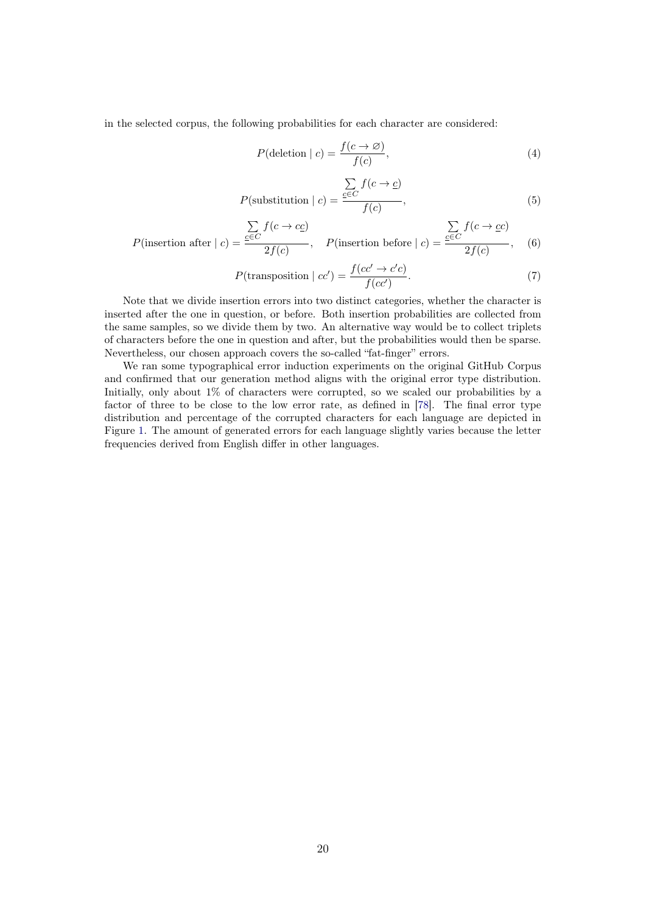in the selected corpus, the following probabilities for each character are considered:

$$
P(\text{deletion} \mid c) = \frac{f(c \to \varnothing)}{f(c)},\tag{4}
$$

$$
P(\text{substitution} \mid c) = \frac{\sum_{c \in C} f(c \to c)}{f(c)},\tag{5}
$$

$$
P(\text{insertion after } | c) = \frac{\sum_{c \in C} f(c \to c c)}{2f(c)}, \quad P(\text{insertion before } | c) = \frac{\sum_{c \in C} f(c \to c c)}{2f(c)}, \quad (6)
$$

$$
P(\text{transposition} \mid cc') = \frac{f(cc' \to c'c)}{f(cc')}.\tag{7}
$$

Note that we divide insertion errors into two distinct categories, whether the character is inserted after the one in question, or before. Both insertion probabilities are collected from the same samples, so we divide them by two. An alternative way would be to collect triplets of characters before the one in question and after, but the probabilities would then be sparse. Nevertheless, our chosen approach covers the so-called "fat-finger" errors.

We ran some typographical error induction experiments on the original GitHub Corpus and confirmed that our generation method aligns with the original error type distribution. Initially, only about 1% of characters were corrupted, so we scaled our probabilities by a factor of three to be close to the low error rate, as defined in [\[78\]](#page-34-1). The final error type distribution and percentage of the corrupted characters for each language are depicted in Figure [1.](#page-20-0) The amount of generated errors for each language slightly varies because the letter frequencies derived from English differ in other languages.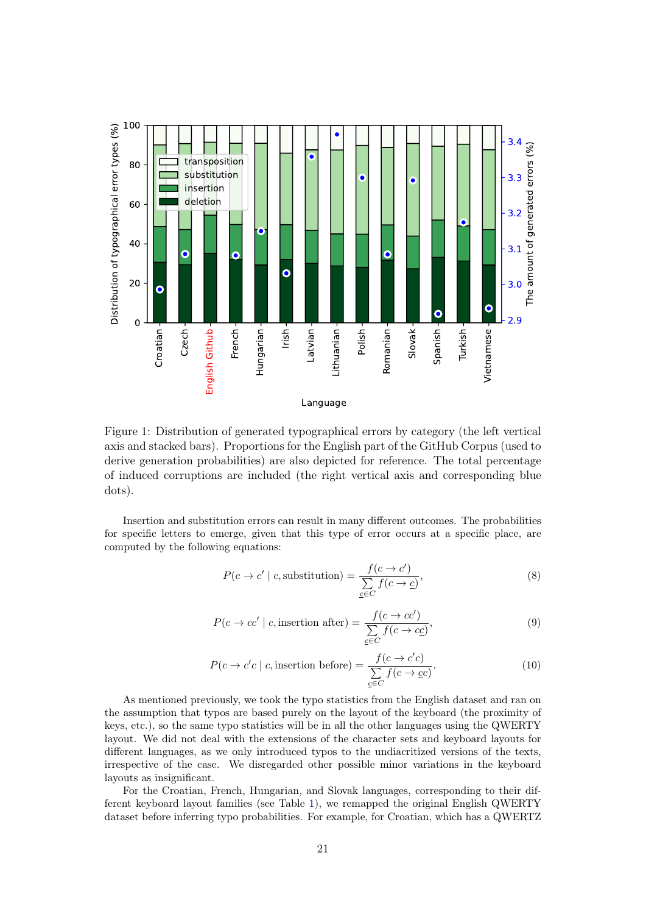<span id="page-20-0"></span>

Figure 1: Distribution of generated typographical errors by category (the left vertical axis and stacked bars). Proportions for the English part of the GitHub Corpus (used to derive generation probabilities) are also depicted for reference. The total percentage of induced corruptions are included (the right vertical axis and corresponding blue dots).

Insertion and substitution errors can result in many different outcomes. The probabilities for specific letters to emerge, given that this type of error occurs at a specific place, are computed by the following equations:

$$
P(c \to c' \mid c, \text{substitution}) = \frac{f(c \to c')}{\sum\limits_{c \in C} f(c \to c)},\tag{8}
$$

$$
P(c \to cc' \mid c, \text{insertion after}) = \frac{f(c \to cc')}{\sum_{c \in C} f(c \to cc)},\tag{9}
$$

$$
P(c \to c'c \mid c, \text{insertion before}) = \frac{f(c \to c'c)}{\sum\limits_{c \in C} f(c \to \underline{c}c)}.
$$
 (10)

As mentioned previously, we took the typo statistics from the English dataset and ran on the assumption that typos are based purely on the layout of the keyboard (the proximity of keys, etc.), so the same typo statistics will be in all the other languages using the QWERTY layout. We did not deal with the extensions of the character sets and keyboard layouts for different languages, as we only introduced typos to the undiacritized versions of the texts, irrespective of the case. We disregarded other possible minor variations in the keyboard layouts as insignificant.

For the Croatian, French, Hungarian, and Slovak languages, corresponding to their different keyboard layout families (see Table [1\)](#page-16-1), we remapped the original English QWERTY dataset before inferring typo probabilities. For example, for Croatian, which has a QWERTZ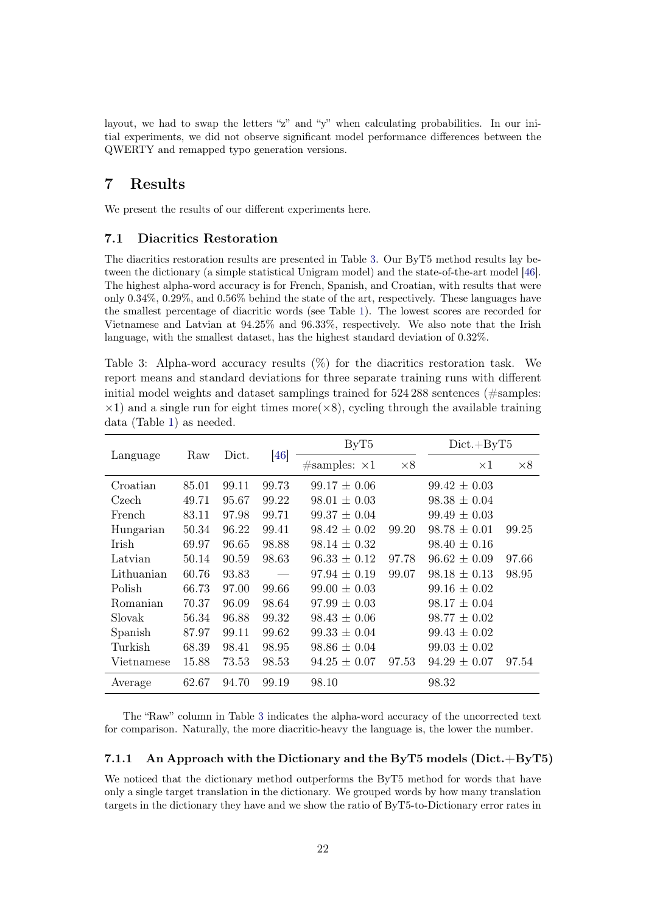layout, we had to swap the letters "z" and "y" when calculating probabilities. In our initial experiments, we did not observe significant model performance differences between the QWERTY and remapped typo generation versions.

# <span id="page-21-0"></span>7 Results

We present the results of our different experiments here.

## 7.1 Diacritics Restoration

The diacritics restoration results are presented in Table [3.](#page-21-1) Our ByT5 method results lay between the dictionary (a simple statistical Unigram model) and the state-of-the-art model [\[46\]](#page-32-1). The highest alpha-word accuracy is for French, Spanish, and Croatian, with results that were only 0.34%, 0.29%, and 0.56% behind the state of the art, respectively. These languages have the smallest percentage of diacritic words (see Table [1\)](#page-16-1). The lowest scores are recorded for Vietnamese and Latvian at 94.25% and 96.33%, respectively. We also note that the Irish language, with the smallest dataset, has the highest standard deviation of 0.32%.

<span id="page-21-1"></span>Table 3: Alpha-word accuracy results (%) for the diacritics restoration task. We report means and standard deviations for three separate training runs with different initial model weights and dataset samplings trained for 524 288 sentences (#samples:  $\times$ 1) and a single run for eight times more  $(\times 8)$ , cycling through the available training data (Table [1\)](#page-16-1) as needed.

|               |       |       |       | ByT5                  |            | $Dict + ByT5$    |            |
|---------------|-------|-------|-------|-----------------------|------------|------------------|------------|
| Language      | Raw   | Dict. | [46]  | $\#samples: \times 1$ | $\times 8$ | $\times 1$       | $\times 8$ |
| Croatian      | 85.01 | 99.11 | 99.73 | $99.17 \pm 0.06$      |            | $99.42 \pm 0.03$ |            |
| Czech         | 49.71 | 95.67 | 99.22 | $98.01 \pm 0.03$      |            | $98.38 \pm 0.04$ |            |
| French        | 83.11 | 97.98 | 99.71 | $99.37 \pm 0.04$      |            | $99.49 \pm 0.03$ |            |
| Hungarian     | 50.34 | 96.22 | 99.41 | $98.42 \pm 0.02$      | 99.20      | $98.78 \pm 0.01$ | 99.25      |
| <b>I</b> rish | 69.97 | 96.65 | 98.88 | $98.14 \pm 0.32$      |            | $98.40 \pm 0.16$ |            |
| Latvian       | 50.14 | 90.59 | 98.63 | $96.33 \pm 0.12$      | 97.78      | $96.62 \pm 0.09$ | 97.66      |
| Lithuanian    | 60.76 | 93.83 |       | $97.94 \pm 0.19$      | 99.07      | $98.18 \pm 0.13$ | 98.95      |
| Polish        | 66.73 | 97.00 | 99.66 | $99.00 \pm 0.03$      |            | $99.16 \pm 0.02$ |            |
| Romanian      | 70.37 | 96.09 | 98.64 | $97.99 \pm 0.03$      |            | $98.17 \pm 0.04$ |            |
| Slovak        | 56.34 | 96.88 | 99.32 | $98.43 \pm 0.06$      |            | $98.77 \pm 0.02$ |            |
| Spanish       | 87.97 | 99.11 | 99.62 | $99.33 \pm 0.04$      |            | $99.43 \pm 0.02$ |            |
| Turkish       | 68.39 | 98.41 | 98.95 | $98.86 \pm 0.04$      |            | $99.03 \pm 0.02$ |            |
| Vietnamese    | 15.88 | 73.53 | 98.53 | $94.25 \pm 0.07$      | 97.53      | $94.29 \pm 0.07$ | 97.54      |
| Average       | 62.67 | 94.70 | 99.19 | 98.10                 |            | 98.32            |            |

The "Raw" column in Table [3](#page-21-1) indicates the alpha-word accuracy of the uncorrected text for comparison. Naturally, the more diacritic-heavy the language is, the lower the number.

## 7.1.1 An Approach with the Dictionary and the ByT5 models ( $Dict + ByT5$ )

We noticed that the dictionary method outperforms the ByT5 method for words that have only a single target translation in the dictionary. We grouped words by how many translation targets in the dictionary they have and we show the ratio of ByT5-to-Dictionary error rates in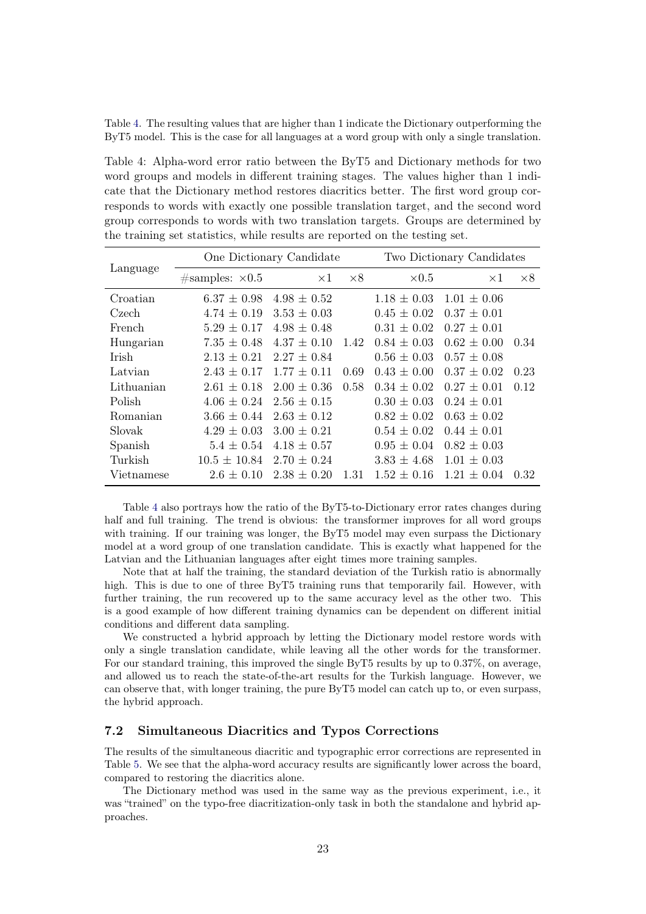Table [4.](#page-22-0) The resulting values that are higher than 1 indicate the Dictionary outperforming the ByT5 model. This is the case for all languages at a word group with only a single translation.

<span id="page-22-0"></span>Table 4: Alpha-word error ratio between the ByT5 and Dictionary methods for two word groups and models in different training stages. The values higher than 1 indicate that the Dictionary method restores diacritics better. The first word group corresponds to words with exactly one possible translation target, and the second word group corresponds to words with two translation targets. Groups are determined by the training set statistics, while results are reported on the testing set.

|              |                         | One Dictionary Candidate | Two Dictionary Candidates |                 |                 |            |
|--------------|-------------------------|--------------------------|---------------------------|-----------------|-----------------|------------|
| Language     | $\#samples: \times 0.5$ | $\times 1$               | $\times 8$                | $\times 0.5$    | $\times 1$      | $\times 8$ |
| Croatian     | $6.37 \pm 0.98$         | $4.98 \pm 0.52$          |                           | $1.18 \pm 0.03$ | $1.01 \pm 0.06$ |            |
| Czech        | $4.74 \pm 0.19$         | $3.53 \pm 0.03$          |                           | $0.45 \pm 0.02$ | $0.37 \pm 0.01$ |            |
| French       | $5.29 \pm 0.17$         | $4.98 \pm 0.48$          |                           | $0.31 \pm 0.02$ | $0.27 \pm 0.01$ |            |
| Hungarian    | $7.35 \pm 0.48$         | $4.37 \pm 0.10$          | 1.42                      | $0.84 \pm 0.03$ | $0.62 \pm 0.00$ | 0.34       |
| <b>Irish</b> | $2.13 \pm 0.21$         | $2.27 \pm 0.84$          |                           | $0.56 \pm 0.03$ | $0.57 \pm 0.08$ |            |
| Latvian      | $2.43 \pm 0.17$         | $1.77 \pm 0.11$          | 0.69                      | $0.43 \pm 0.00$ | $0.37 \pm 0.02$ | 0.23       |
| Lithuanian   | $2.61 \pm 0.18$         | $2.00 \pm 0.36$          | 0.58                      | $0.34 \pm 0.02$ | $0.27 \pm 0.01$ | 0.12       |
| Polish       | $4.06 \pm 0.24$         | $2.56 \pm 0.15$          |                           | $0.30 \pm 0.03$ | $0.24 \pm 0.01$ |            |
| Romanian     | $3.66 \pm 0.44$         | $2.63 \pm 0.12$          |                           | $0.82 \pm 0.02$ | $0.63 \pm 0.02$ |            |
| Slovak       | $4.29 \pm 0.03$         | $3.00 \pm 0.21$          |                           | $0.54 \pm 0.02$ | $0.44 \pm 0.01$ |            |
| Spanish      | $5.4 \pm 0.54$          | $4.18 \pm 0.57$          |                           | $0.95 \pm 0.04$ | $0.82 \pm 0.03$ |            |
| Turkish      | $10.5 \pm 10.84$        | $2.70 \pm 0.24$          |                           | $3.83 \pm 4.68$ | $1.01 \pm 0.03$ |            |
| Vietnamese   | $2.6 \pm 0.10$          | $2.38 \pm 0.20$          | 1.31                      | $1.52 \pm 0.16$ | $1.21 \pm 0.04$ | 0.32       |

Table [4](#page-22-0) also portrays how the ratio of the ByT5-to-Dictionary error rates changes during half and full training. The trend is obvious: the transformer improves for all word groups with training. If our training was longer, the ByT5 model may even surpass the Dictionary model at a word group of one translation candidate. This is exactly what happened for the Latvian and the Lithuanian languages after eight times more training samples.

Note that at half the training, the standard deviation of the Turkish ratio is abnormally high. This is due to one of three ByT5 training runs that temporarily fail. However, with further training, the run recovered up to the same accuracy level as the other two. This is a good example of how different training dynamics can be dependent on different initial conditions and different data sampling.

We constructed a hybrid approach by letting the Dictionary model restore words with only a single translation candidate, while leaving all the other words for the transformer. For our standard training, this improved the single ByT5 results by up to 0.37%, on average, and allowed us to reach the state-of-the-art results for the Turkish language. However, we can observe that, with longer training, the pure ByT5 model can catch up to, or even surpass, the hybrid approach.

#### 7.2 Simultaneous Diacritics and Typos Corrections

The results of the simultaneous diacritic and typographic error corrections are represented in Table [5.](#page-23-0) We see that the alpha-word accuracy results are significantly lower across the board, compared to restoring the diacritics alone.

The Dictionary method was used in the same way as the previous experiment, i.e., it was "trained" on the typo-free diacritization-only task in both the standalone and hybrid approaches.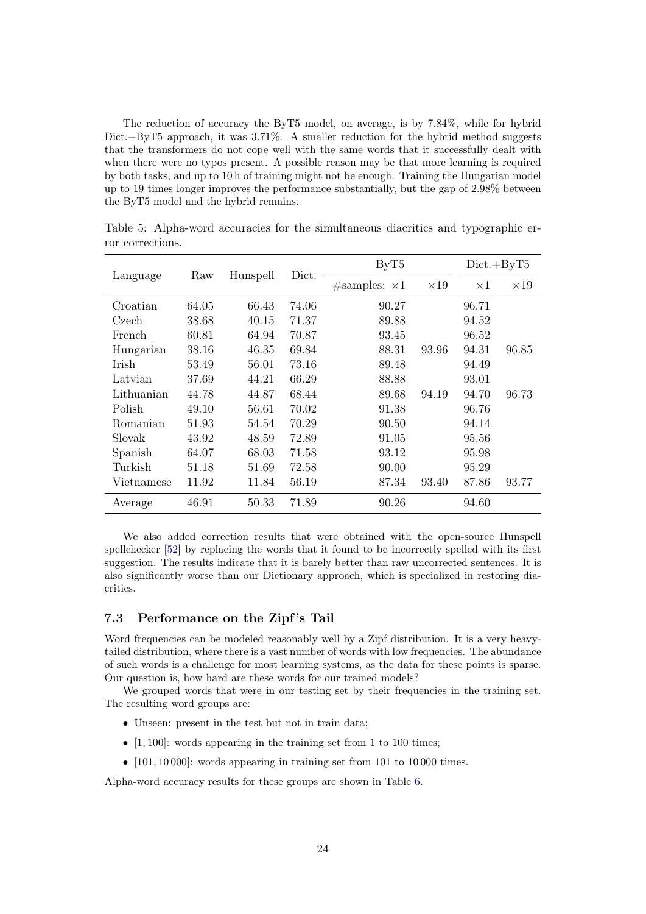The reduction of accuracy the ByT5 model, on average, is by 7.84%, while for hybrid Dict.+ByT5 approach, it was 3.71%. A smaller reduction for the hybrid method suggests that the transformers do not cope well with the same words that it successfully dealt with when there were no typos present. A possible reason may be that more learning is required by both tasks, and up to 10 h of training might not be enough. Training the Hungarian model up to 19 times longer improves the performance substantially, but the gap of 2.98% between the ByT5 model and the hybrid remains.

|            |       |          | Dict. | ByT5                  | $Dict + ByT5$ |            |             |
|------------|-------|----------|-------|-----------------------|---------------|------------|-------------|
| Language   | Raw   | Hunspell |       | $\#samples: \times 1$ | $\times 19$   | $\times 1$ | $\times 19$ |
| Croatian   | 64.05 | 66.43    | 74.06 | 90.27                 |               | 96.71      |             |
| Czech      | 38.68 | 40.15    | 71.37 | 89.88                 |               | 94.52      |             |
| French     | 60.81 | 64.94    | 70.87 | 93.45                 |               | 96.52      |             |
| Hungarian  | 38.16 | 46.35    | 69.84 | 88.31                 | 93.96         | 94.31      | 96.85       |
| Irish      | 53.49 | 56.01    | 73.16 | 89.48                 |               | 94.49      |             |
| Latvian    | 37.69 | 44.21    | 66.29 | 88.88                 |               | 93.01      |             |
| Lithuanian | 44.78 | 44.87    | 68.44 | 89.68                 | 94.19         | 94.70      | 96.73       |
| Polish     | 49.10 | 56.61    | 70.02 | 91.38                 |               | 96.76      |             |
| Romanian   | 51.93 | 54.54    | 70.29 | 90.50                 |               | 94.14      |             |
| Slovak     | 43.92 | 48.59    | 72.89 | 91.05                 |               | 95.56      |             |
| Spanish    | 64.07 | 68.03    | 71.58 | 93.12                 |               | 95.98      |             |
| Turkish    | 51.18 | 51.69    | 72.58 | 90.00                 |               | 95.29      |             |
| Vietnamese | 11.92 | 11.84    | 56.19 | 87.34                 | 93.40         | 87.86      | 93.77       |
| Average    | 46.91 | 50.33    | 71.89 | 90.26                 |               | 94.60      |             |

<span id="page-23-0"></span>Table 5: Alpha-word accuracies for the simultaneous diacritics and typographic error corrections.

We also added correction results that were obtained with the open-source Hunspell spellchecker [\[52\]](#page-32-7) by replacing the words that it found to be incorrectly spelled with its first suggestion. The results indicate that it is barely better than raw uncorrected sentences. It is also significantly worse than our Dictionary approach, which is specialized in restoring diacritics.

#### 7.3 Performance on the Zipf's Tail

Word frequencies can be modeled reasonably well by a Zipf distribution. It is a very heavytailed distribution, where there is a vast number of words with low frequencies. The abundance of such words is a challenge for most learning systems, as the data for these points is sparse. Our question is, how hard are these words for our trained models?

We grouped words that were in our testing set by their frequencies in the training set. The resulting word groups are:

- Unseen: present in the test but not in train data;
- $[1, 100]$ : words appearing in the training set from 1 to 100 times;
- $[101, 10000]$ : words appearing in training set from 101 to 10000 times.

Alpha-word accuracy results for these groups are shown in Table [6.](#page-24-0)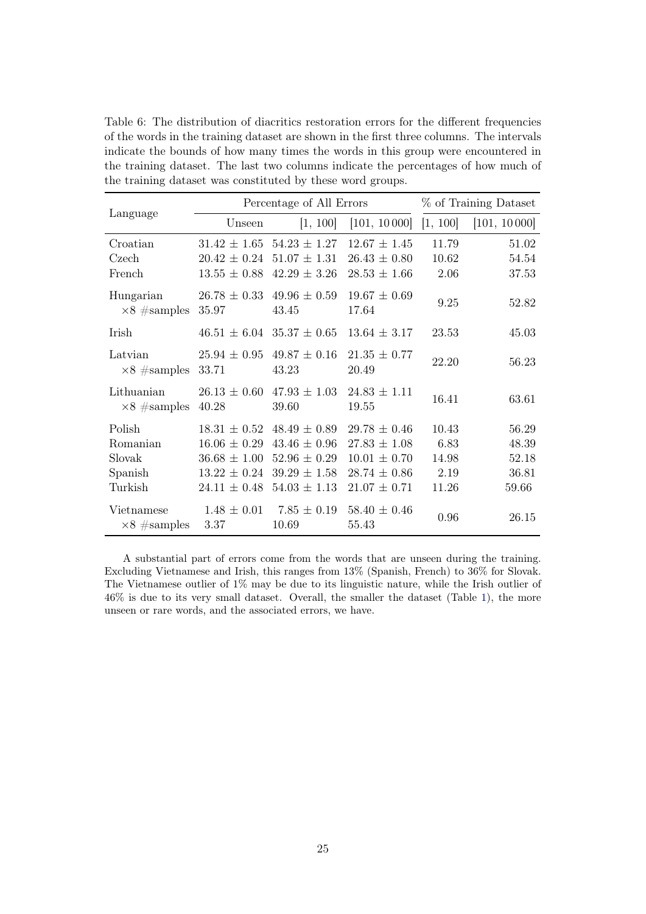<span id="page-24-0"></span>Table 6: The distribution of diacritics restoration errors for the different frequencies of the words in the training dataset are shown in the first three columns. The intervals indicate the bounds of how many times the words in this group were encountered in the training dataset. The last two columns indicate the percentages of how much of the training dataset was constituted by these word groups.

|                     |                  | Percentage of All Errors          |                  | % of Training Dataset |              |
|---------------------|------------------|-----------------------------------|------------------|-----------------------|--------------|
| Language            | Unseen           | 1, 100                            | [101, 10000]     | [1, 100]              | [101, 10000] |
| Croatian            | $31.42 \pm 1.65$ | $54.23 \pm 1.27$                  | $12.67 \pm 1.45$ | 11.79                 | 51.02        |
| Czech               | $20.42 \pm 0.24$ | $51.07 \pm 1.31$                  | $26.43 \pm 0.80$ | 10.62                 | 54.54        |
| French              | $13.55 \pm 0.88$ | $42.29 \pm 3.26$                  | $28.53 \pm 1.66$ | 2.06                  | 37.53        |
| Hungarian           |                  | $26.78 \pm 0.33$ 49.96 $\pm 0.59$ | $19.67 \pm 0.69$ | 9.25                  | 52.82        |
| $\times 8$ #samples | 35.97            | 43.45                             | 17.64            |                       |              |
| <b>Irish</b>        |                  | $46.51 \pm 6.04$ 35.37 $\pm$ 0.65 | $13.64 \pm 3.17$ | 23.53                 | 45.03        |
| Latvian             | $25.94 \pm 0.95$ | $49.87 \pm 0.16$                  | $21.35 \pm 0.77$ | 22.20                 | 56.23        |
| $\times 8$ #samples | 33.71            | 43.23                             | 20.49            |                       |              |
| Lithuanian          | $26.13 \pm 0.60$ | $47.93 \pm 1.03$                  | $24.83 \pm 1.11$ | 16.41                 | 63.61        |
| $\times 8$ #samples | 40.28            | 39.60                             | 19.55            |                       |              |
| Polish              | $18.31 \pm 0.52$ | $48.49 \pm 0.89$                  | $29.78 \pm 0.46$ | 10.43                 | 56.29        |
| Romanian            | $16.06 \pm 0.29$ | $43.46 \pm 0.96$                  | $27.83 \pm 1.08$ | 6.83                  | 48.39        |
| Slovak              | $36.68 \pm 1.00$ | $52.96 \pm 0.29$                  | $10.01 \pm 0.70$ | 14.98                 | 52.18        |
| Spanish             | $13.22 \pm 0.24$ | $39.29 \pm 1.58$                  | $28.74 \pm 0.86$ | 2.19                  | 36.81        |
| Turkish             | $24.11 \pm 0.48$ | $54.03 \pm 1.13$                  | $21.07 \pm 0.71$ | 11.26                 | 59.66        |
| Vietnamese          | $1.48 \pm 0.01$  | $7.85 \pm 0.19$                   | $58.40 \pm 0.46$ | 0.96                  | 26.15        |
| $\times 8$ #samples | 3.37             | 10.69                             | 55.43            |                       |              |

A substantial part of errors come from the words that are unseen during the training. Excluding Vietnamese and Irish, this ranges from 13% (Spanish, French) to 36% for Slovak. The Vietnamese outlier of 1% may be due to its linguistic nature, while the Irish outlier of 46% is due to its very small dataset. Overall, the smaller the dataset (Table [1\)](#page-16-1), the more unseen or rare words, and the associated errors, we have.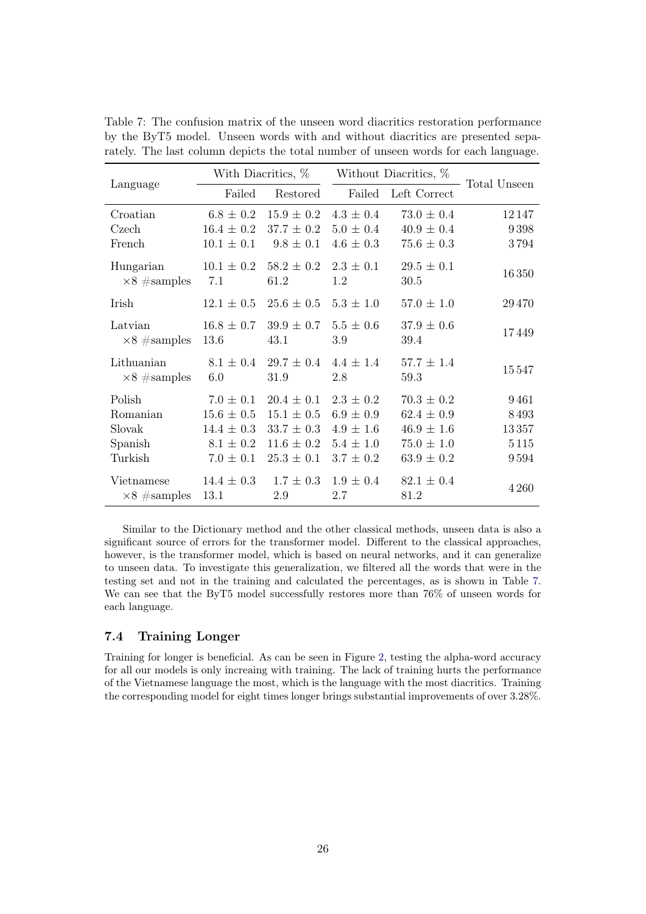|                     |                | With Diacritics, % | Without Diacritics, % |                |              |
|---------------------|----------------|--------------------|-----------------------|----------------|--------------|
| Language            | Failed         | Restored           | Failed                | Left Correct   | Total Unseen |
| Croatian            | $6.8 \pm 0.2$  | $15.9 \pm 0.2$     | $4.3 \pm 0.4$         | $73.0 \pm 0.4$ | 12147        |
| Czech               | $16.4 \pm 0.2$ | $37.7 \pm 0.2$     | $5.0 \pm 0.4$         | $40.9 \pm 0.4$ | 9398         |
| French              | $10.1 \pm 0.1$ | $9.8 \pm 0.1$      | $4.6 \pm 0.3$         | $75.6 \pm 0.3$ | 3794         |
| Hungarian           | $10.1 \pm 0.2$ | $58.2 \pm 0.2$     | $2.3 \pm 0.1$         | $29.5 \pm 0.1$ |              |
| $\times 8$ #samples | 7.1            | 61.2               | 1.2                   | 30.5           | 16350        |
| <b>I</b> rish       | $12.1 \pm 0.5$ | $25.6 \pm 0.5$     | $5.3 \pm 1.0$         | $57.0 \pm 1.0$ | 29470        |
| Latvian             | $16.8 \pm 0.7$ | $39.9 \pm 0.7$     | $5.5 \pm 0.6$         | $37.9 \pm 0.6$ |              |
| $\times 8$ #samples | 13.6           | 43.1               | 3.9                   | 39.4           | 17449        |
| Lithuanian          | $8.1 \pm 0.4$  | $29.7 \pm 0.4$     | $4.4 + 1.4$           | $57.7 \pm 1.4$ | 15547        |
| $\times 8$ #samples | 6.0            | 31.9               | 2.8                   | 59.3           |              |
| Polish              | $7.0 \pm 0.1$  | $20.4 \pm 0.1$     | $2.3 \pm 0.2$         | $70.3 \pm 0.2$ | 9461         |
| Romanian            | $15.6 \pm 0.5$ | $15.1 \pm 0.5$     | $6.9 \pm 0.9$         | $62.4 \pm 0.9$ | 8493         |
| Slovak              | $14.4 \pm 0.3$ | $33.7 \pm 0.3$     | $4.9 \pm 1.6$         | $46.9 \pm 1.6$ | 13357        |
| Spanish             | $8.1 \pm 0.2$  | $11.6 \pm 0.2$     | $5.4 \pm 1.0$         | $75.0 \pm 1.0$ | 5115         |
| Turkish             | $7.0 \pm 0.1$  | $25.3 \pm 0.1$     | $3.7 \pm 0.2$         | $63.9 \pm 0.2$ | 9594         |
| Vietnamese          | $14.4 \pm 0.3$ | $1.7 \pm 0.3$      | $1.9 \pm 0.4$         | $82.1 \pm 0.4$ |              |
| $\times 8$ #samples | 13.1           | 2.9                | 2.7                   | 81.2           | 4 2 6 0      |

<span id="page-25-0"></span>Table 7: The confusion matrix of the unseen word diacritics restoration performance by the ByT5 model. Unseen words with and without diacritics are presented separately. The last column depicts the total number of unseen words for each language.

Similar to the Dictionary method and the other classical methods, unseen data is also a significant source of errors for the transformer model. Different to the classical approaches, however, is the transformer model, which is based on neural networks, and it can generalize to unseen data. To investigate this generalization, we filtered all the words that were in the testing set and not in the training and calculated the percentages, as is shown in Table [7.](#page-25-0) We can see that the ByT5 model successfully restores more than  $76\%$  of unseen words for each language.

## 7.4 Training Longer

Training for longer is beneficial. As can be seen in Figure [2,](#page-26-0) testing the alpha-word accuracy for all our models is only increaing with training. The lack of training hurts the performance of the Vietnamese language the most, which is the language with the most diacritics. Training the corresponding model for eight times longer brings substantial improvements of over 3.28%.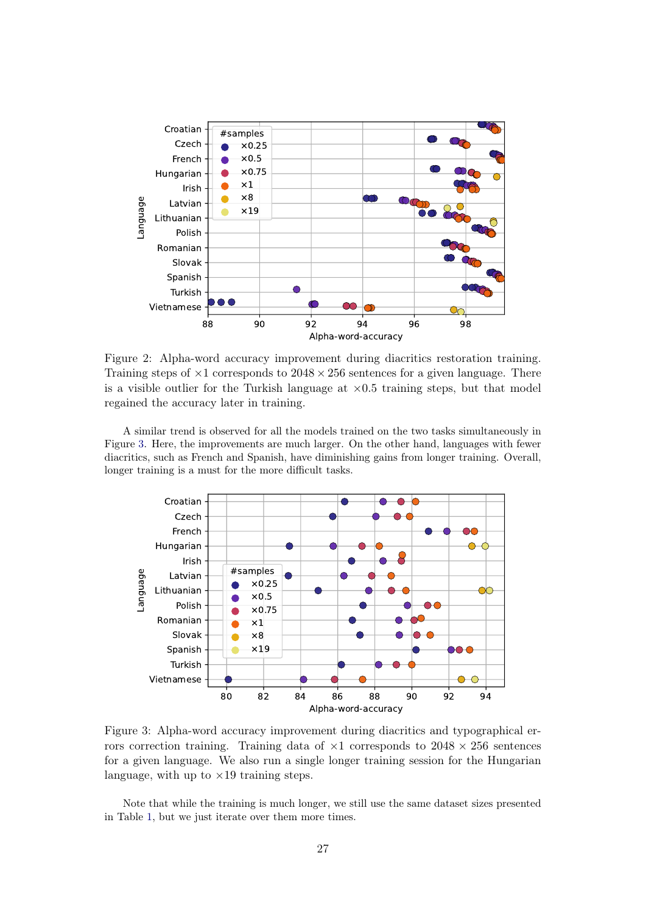<span id="page-26-0"></span>

Figure 2: Alpha-word accuracy improvement during diacritics restoration training. Training steps of  $\times$ 1 corresponds to 2048  $\times$  256 sentences for a given language. There is a visible outlier for the Turkish language at  $\times$ 0.5 training steps, but that model regained the accuracy later in training.

A similar trend is observed for all the models trained on the two tasks simultaneously in Figure [3.](#page-26-1) Here, the improvements are much larger. On the other hand, languages with fewer diacritics, such as French and Spanish, have diminishing gains from longer training. Overall, longer training is a must for the more difficult tasks.

<span id="page-26-1"></span>

Figure 3: Alpha-word accuracy improvement during diacritics and typographical errors correction training. Training data of  $\times 1$  corresponds to  $2048 \times 256$  sentences for a given language. We also run a single longer training session for the Hungarian language, with up to  $\times 19$  training steps.

Note that while the training is much longer, we still use the same dataset sizes presented in Table [1,](#page-16-1) but we just iterate over them more times.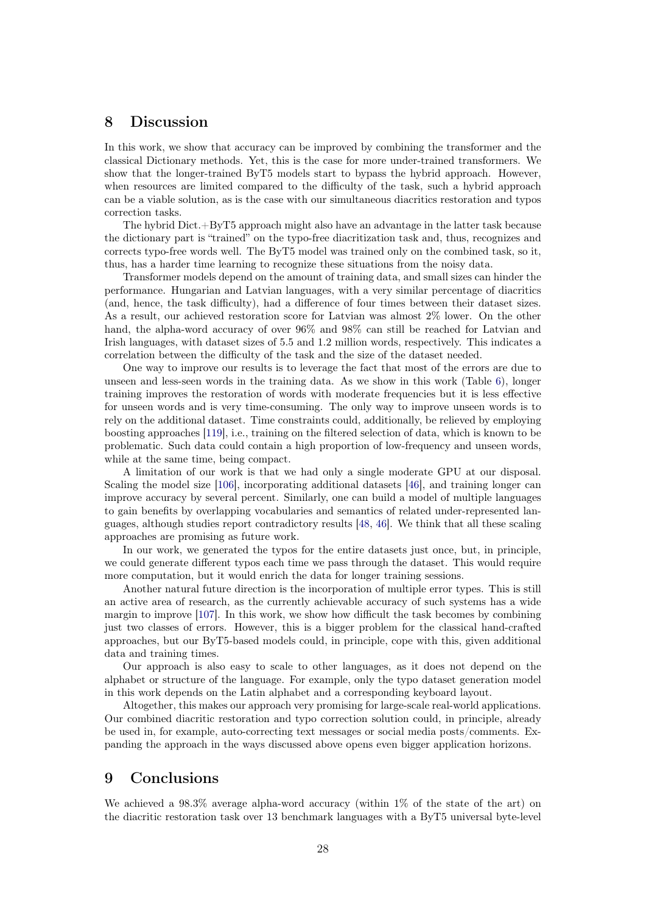# <span id="page-27-0"></span>8 Discussion

In this work, we show that accuracy can be improved by combining the transformer and the classical Dictionary methods. Yet, this is the case for more under-trained transformers. We show that the longer-trained ByT5 models start to bypass the hybrid approach. However, when resources are limited compared to the difficulty of the task, such a hybrid approach can be a viable solution, as is the case with our simultaneous diacritics restoration and typos correction tasks.

The hybrid Dict.+ByT5 approach might also have an advantage in the latter task because the dictionary part is "trained" on the typo-free diacritization task and, thus, recognizes and corrects typo-free words well. The ByT5 model was trained only on the combined task, so it, thus, has a harder time learning to recognize these situations from the noisy data.

Transformer models depend on the amount of training data, and small sizes can hinder the performance. Hungarian and Latvian languages, with a very similar percentage of diacritics (and, hence, the task difficulty), had a difference of four times between their dataset sizes. As a result, our achieved restoration score for Latvian was almost 2% lower. On the other hand, the alpha-word accuracy of over  $96\%$  and  $98\%$  can still be reached for Latvian and Irish languages, with dataset sizes of 5.5 and 1.2 million words, respectively. This indicates a correlation between the difficulty of the task and the size of the dataset needed.

One way to improve our results is to leverage the fact that most of the errors are due to unseen and less-seen words in the training data. As we show in this work (Table [6\)](#page-24-0), longer training improves the restoration of words with moderate frequencies but it is less effective for unseen words and is very time-consuming. The only way to improve unseen words is to rely on the additional dataset. Time constraints could, additionally, be relieved by employing boosting approaches [\[119\]](#page-37-7), i.e., training on the filtered selection of data, which is known to be problematic. Such data could contain a high proportion of low-frequency and unseen words, while at the same time, being compact.

A limitation of our work is that we had only a single moderate GPU at our disposal. Scaling the model size [\[106\]](#page-36-6), incorporating additional datasets [\[46\]](#page-32-1), and training longer can improve accuracy by several percent. Similarly, one can build a model of multiple languages to gain benefits by overlapping vocabularies and semantics of related under-represented languages, although studies report contradictory results [\[48,](#page-32-3) [46\]](#page-32-1). We think that all these scaling approaches are promising as future work.

In our work, we generated the typos for the entire datasets just once, but, in principle, we could generate different typos each time we pass through the dataset. This would require more computation, but it would enrich the data for longer training sessions.

Another natural future direction is the incorporation of multiple error types. This is still an active area of research, as the currently achievable accuracy of such systems has a wide margin to improve [\[107\]](#page-36-7). In this work, we show how difficult the task becomes by combining just two classes of errors. However, this is a bigger problem for the classical hand-crafted approaches, but our ByT5-based models could, in principle, cope with this, given additional data and training times.

Our approach is also easy to scale to other languages, as it does not depend on the alphabet or structure of the language. For example, only the typo dataset generation model in this work depends on the Latin alphabet and a corresponding keyboard layout.

Altogether, this makes our approach very promising for large-scale real-world applications. Our combined diacritic restoration and typo correction solution could, in principle, already be used in, for example, auto-correcting text messages or social media posts/comments. Expanding the approach in the ways discussed above opens even bigger application horizons.

# <span id="page-27-1"></span>9 Conclusions

We achieved a 98.3% average alpha-word accuracy (within  $1\%$  of the state of the art) on the diacritic restoration task over 13 benchmark languages with a ByT5 universal byte-level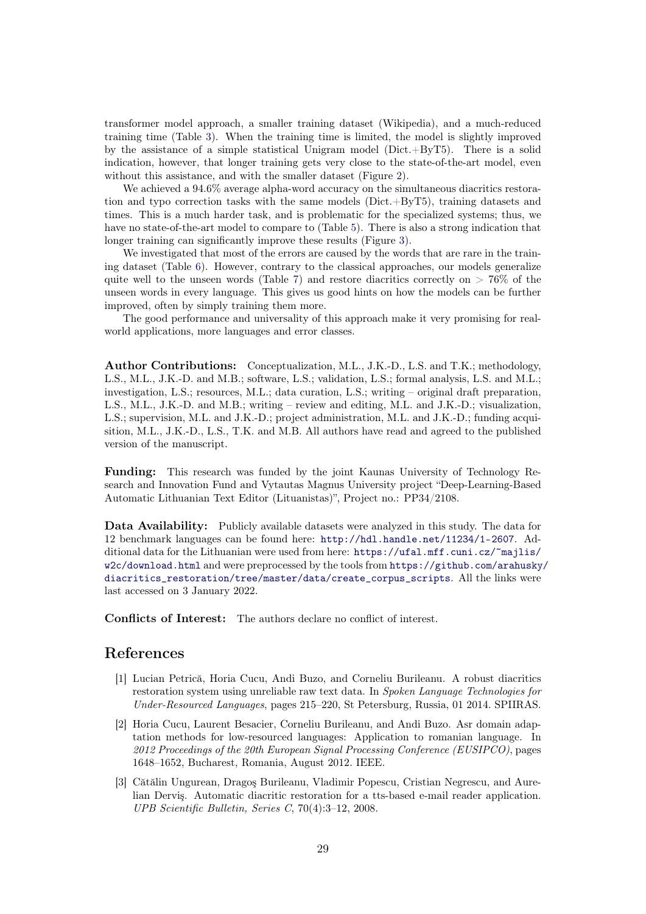transformer model approach, a smaller training dataset (Wikipedia), and a much-reduced training time (Table [3\)](#page-21-1). When the training time is limited, the model is slightly improved by the assistance of a simple statistical Unigram model ( $Dict.+ByT5$ ). There is a solid indication, however, that longer training gets very close to the state-of-the-art model, even without this assistance, and with the smaller dataset (Figure [2\)](#page-26-0).

We achieved a 94.6% average alpha-word accuracy on the simultaneous diacritics restoration and typo correction tasks with the same models (Dict.+ByT5), training datasets and times. This is a much harder task, and is problematic for the specialized systems; thus, we have no state-of-the-art model to compare to (Table [5\)](#page-23-0). There is also a strong indication that longer training can significantly improve these results (Figure [3\)](#page-26-1).

We investigated that most of the errors are caused by the words that are rare in the training dataset (Table [6\)](#page-24-0). However, contrary to the classical approaches, our models generalize quite well to the unseen words (Table [7\)](#page-25-0) and restore diacritics correctly on  $> 76\%$  of the unseen words in every language. This gives us good hints on how the models can be further improved, often by simply training them more.

The good performance and universality of this approach make it very promising for realworld applications, more languages and error classes.

Author Contributions: Conceptualization, M.L., J.K.-D., L.S. and T.K.; methodology, L.S., M.L., J.K.-D. and M.B.; software, L.S.; validation, L.S.; formal analysis, L.S. and M.L.; investigation, L.S.; resources, M.L.; data curation, L.S.; writing – original draft preparation, L.S., M.L., J.K.-D. and M.B.; writing – review and editing, M.L. and J.K.-D.; visualization, L.S.; supervision, M.L. and J.K.-D.; project administration, M.L. and J.K.-D.; funding acquisition, M.L., J.K.-D., L.S., T.K. and M.B. All authors have read and agreed to the published version of the manuscript.

Funding: This research was funded by the joint Kaunas University of Technology Research and Innovation Fund and Vytautas Magnus University project "Deep-Learning-Based Automatic Lithuanian Text Editor (Lituanistas)", Project no.: PP34/2108.

Data Availability: Publicly available datasets were analyzed in this study. The data for 12 benchmark languages can be found here: <http://hdl.handle.net/11234/1-2607>. Additional data for the Lithuanian were used from here: [https://ufal.mff.cuni.cz/~majlis/](https://ufal.mff.cuni.cz/~majlis/w2c/download.html) [w2c/download.html](https://ufal.mff.cuni.cz/~majlis/w2c/download.html) and were preprocessed by the tools from [https://github.com/arahusky](https://github.com/arahusky/diacritics_restoration/tree/master/data/create_corpus_scripts)/ [diacritics\\_restoration/tree/master/data/create\\_corpus\\_scripts](https://github.com/arahusky/diacritics_restoration/tree/master/data/create_corpus_scripts). All the links were last accessed on 3 January 2022.

Conflicts of Interest: The authors declare no conflict of interest.

# References

- <span id="page-28-0"></span>[1] Lucian Petrică, Horia Cucu, Andi Buzo, and Corneliu Burileanu. A robust diacritics restoration system using unreliable raw text data. In Spoken Language Technologies for Under-Resourced Languages, pages 215–220, St Petersburg, Russia, 01 2014. SPIIRAS.
- <span id="page-28-1"></span>[2] Horia Cucu, Laurent Besacier, Corneliu Burileanu, and Andi Buzo. Asr domain adaptation methods for low-resourced languages: Application to romanian language. In 2012 Proceedings of the 20th European Signal Processing Conference (EUSIPCO), pages 1648–1652, Bucharest, Romania, August 2012. IEEE.
- <span id="page-28-2"></span>[3] Cătălin Ungurean, Dragoş Burileanu, Vladimir Popescu, Cristian Negrescu, and Aurelian Derviş. Automatic diacritic restoration for a tts-based e-mail reader application. UPB Scientific Bulletin, Series C, 70(4):3–12, 2008.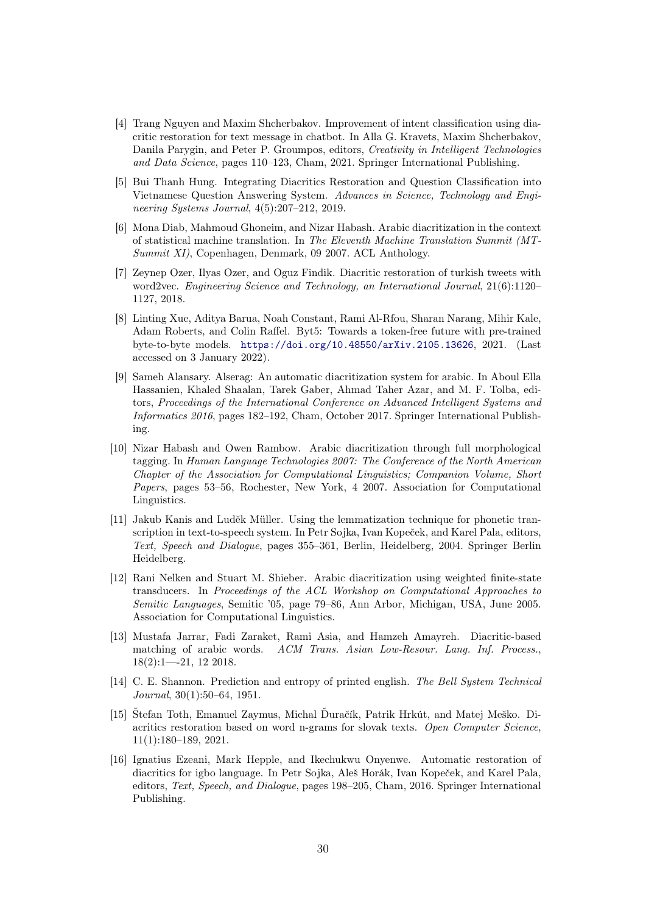- <span id="page-29-0"></span>[4] Trang Nguyen and Maxim Shcherbakov. Improvement of intent classification using diacritic restoration for text message in chatbot. In Alla G. Kravets, Maxim Shcherbakov, Danila Parygin, and Peter P. Groumpos, editors, Creativity in Intelligent Technologies and Data Science, pages 110–123, Cham, 2021. Springer International Publishing.
- <span id="page-29-1"></span>[5] Bui Thanh Hung. Integrating Diacritics Restoration and Question Classification into Vietnamese Question Answering System. Advances in Science, Technology and Engineering Systems Journal, 4(5):207–212, 2019.
- <span id="page-29-2"></span>[6] Mona Diab, Mahmoud Ghoneim, and Nizar Habash. Arabic diacritization in the context of statistical machine translation. In The Eleventh Machine Translation Summit (MT-Summit XI), Copenhagen, Denmark, 09 2007. ACL Anthology.
- <span id="page-29-3"></span>[7] Zeynep Ozer, Ilyas Ozer, and Oguz Findik. Diacritic restoration of turkish tweets with word2vec. Engineering Science and Technology, an International Journal, 21(6):1120– 1127, 2018.
- <span id="page-29-4"></span>[8] Linting Xue, Aditya Barua, Noah Constant, Rami Al-Rfou, Sharan Narang, Mihir Kale, Adam Roberts, and Colin Raffel. Byt5: Towards a token-free future with pre-trained byte-to-byte models. <https://doi.org/10.48550/arXiv.2105.13626>, 2021. (Last accessed on 3 January 2022).
- <span id="page-29-5"></span>[9] Sameh Alansary. Alserag: An automatic diacritization system for arabic. In Aboul Ella Hassanien, Khaled Shaalan, Tarek Gaber, Ahmad Taher Azar, and M. F. Tolba, editors, Proceedings of the International Conference on Advanced Intelligent Systems and Informatics 2016, pages 182–192, Cham, October 2017. Springer International Publishing.
- <span id="page-29-6"></span>[10] Nizar Habash and Owen Rambow. Arabic diacritization through full morphological tagging. In Human Language Technologies 2007: The Conference of the North American Chapter of the Association for Computational Linguistics; Companion Volume, Short Papers, pages 53–56, Rochester, New York, 4 2007. Association for Computational Linguistics.
- <span id="page-29-7"></span>[11] Jakub Kanis and Luděk Müller. Using the lemmatization technique for phonetic transcription in text-to-speech system. In Petr Sojka, Ivan Kopeček, and Karel Pala, editors, Text, Speech and Dialogue, pages 355–361, Berlin, Heidelberg, 2004. Springer Berlin Heidelberg.
- <span id="page-29-8"></span>[12] Rani Nelken and Stuart M. Shieber. Arabic diacritization using weighted finite-state transducers. In Proceedings of the ACL Workshop on Computational Approaches to Semitic Languages, Semitic '05, page 79–86, Ann Arbor, Michigan, USA, June 2005. Association for Computational Linguistics.
- <span id="page-29-9"></span>[13] Mustafa Jarrar, Fadi Zaraket, Rami Asia, and Hamzeh Amayreh. Diacritic-based matching of arabic words. ACM Trans. Asian Low-Resour. Lang. Inf. Process., 18(2):1—-21, 12 2018.
- <span id="page-29-10"></span>[14] C. E. Shannon. Prediction and entropy of printed english. The Bell System Technical Journal, 30(1):50–64, 1951.
- <span id="page-29-11"></span>[15] Štefan Toth, Emanuel Zaymus, Michal Ďuračík, Patrik Hrkút, and Matej Meško. Diacritics restoration based on word n-grams for slovak texts. Open Computer Science, 11(1):180–189, 2021.
- <span id="page-29-12"></span>[16] Ignatius Ezeani, Mark Hepple, and Ikechukwu Onyenwe. Automatic restoration of diacritics for igbo language. In Petr Sojka, Aleš Horák, Ivan Kopeček, and Karel Pala, editors, Text, Speech, and Dialogue, pages 198–205, Cham, 2016. Springer International Publishing.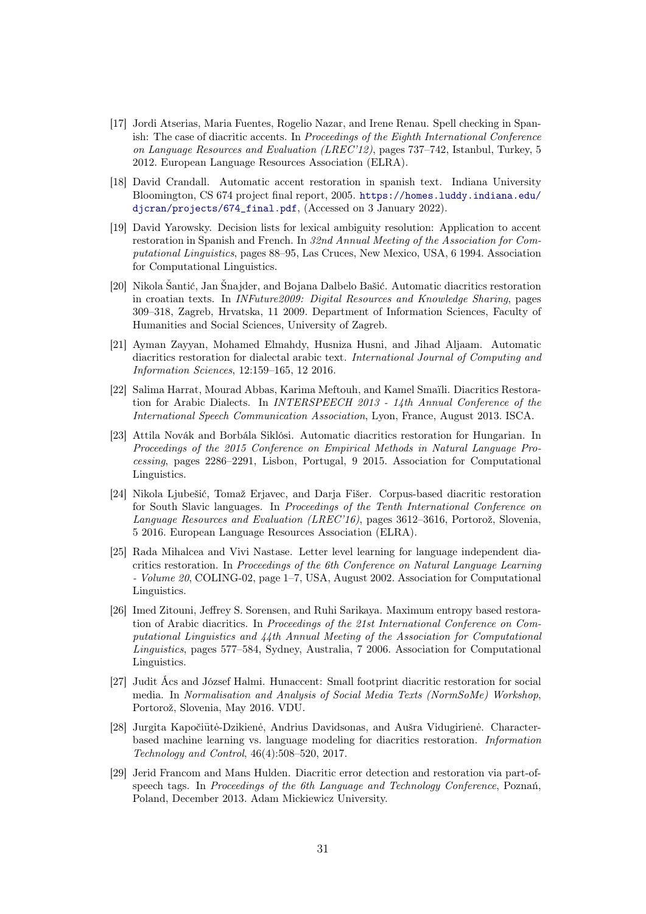- <span id="page-30-0"></span>[17] Jordi Atserias, Maria Fuentes, Rogelio Nazar, and Irene Renau. Spell checking in Spanish: The case of diacritic accents. In Proceedings of the Eighth International Conference on Language Resources and Evaluation (LREC'12), pages 737–742, Istanbul, Turkey, 5 2012. European Language Resources Association (ELRA).
- <span id="page-30-1"></span>[18] David Crandall. Automatic accent restoration in spanish text. Indiana University Bloomington, CS 674 project final report, 2005. [https://homes.luddy.indiana.edu/](https://homes.luddy.indiana.edu/djcran/projects/674_final.pdf) [djcran/projects/674\\_final.pdf](https://homes.luddy.indiana.edu/djcran/projects/674_final.pdf), (Accessed on 3 January 2022).
- <span id="page-30-2"></span>[19] David Yarowsky. Decision lists for lexical ambiguity resolution: Application to accent restoration in Spanish and French. In 32nd Annual Meeting of the Association for Computational Linguistics, pages 88–95, Las Cruces, New Mexico, USA, 6 1994. Association for Computational Linguistics.
- <span id="page-30-3"></span>[20] Nikola Šantić, Jan Šnajder, and Bojana Dalbelo Bašić. Automatic diacritics restoration in croatian texts. In INFuture2009: Digital Resources and Knowledge Sharing, pages 309–318, Zagreb, Hrvatska, 11 2009. Department of Information Sciences, Faculty of Humanities and Social Sciences, University of Zagreb.
- <span id="page-30-4"></span>[21] Ayman Zayyan, Mohamed Elmahdy, Husniza Husni, and Jihad Aljaam. Automatic diacritics restoration for dialectal arabic text. International Journal of Computing and Information Sciences, 12:159–165, 12 2016.
- <span id="page-30-5"></span>[22] Salima Harrat, Mourad Abbas, Karima Meftouh, and Kamel Smaïli. Diacritics Restoration for Arabic Dialects. In INTERSPEECH 2013 - 14th Annual Conference of the International Speech Communication Association, Lyon, France, August 2013. ISCA.
- <span id="page-30-6"></span>[23] Attila Novák and Borbála Siklósi. Automatic diacritics restoration for Hungarian. In Proceedings of the 2015 Conference on Empirical Methods in Natural Language Processing, pages 2286–2291, Lisbon, Portugal, 9 2015. Association for Computational Linguistics.
- <span id="page-30-7"></span>[24] Nikola Ljubešić, Tomaž Erjavec, and Darja Fišer. Corpus-based diacritic restoration for South Slavic languages. In Proceedings of the Tenth International Conference on Language Resources and Evaluation (LREC'16), pages 3612–3616, Portorož, Slovenia, 5 2016. European Language Resources Association (ELRA).
- <span id="page-30-8"></span>[25] Rada Mihalcea and Vivi Nastase. Letter level learning for language independent diacritics restoration. In Proceedings of the 6th Conference on Natural Language Learning - Volume 20, COLING-02, page 1–7, USA, August 2002. Association for Computational Linguistics.
- <span id="page-30-9"></span>[26] Imed Zitouni, Jeffrey S. Sorensen, and Ruhi Sarikaya. Maximum entropy based restoration of Arabic diacritics. In Proceedings of the 21st International Conference on Computational Linguistics and 44th Annual Meeting of the Association for Computational Linguistics, pages 577–584, Sydney, Australia, 7 2006. Association for Computational Linguistics.
- <span id="page-30-10"></span>[27] Judit Ács and József Halmi. Hunaccent: Small footprint diacritic restoration for social media. In Normalisation and Analysis of Social Media Texts (NormSoMe) Workshop, Portorož, Slovenia, May 2016. VDU.
- <span id="page-30-11"></span>[28] Jurgita Kapočiūtė-Dzikienė, Andrius Davidsonas, and Aušra Vidugirienė. Characterbased machine learning vs. language modeling for diacritics restoration. Information Technology and Control, 46(4):508–520, 2017.
- <span id="page-30-12"></span>[29] Jerid Francom and Mans Hulden. Diacritic error detection and restoration via part-ofspeech tags. In Proceedings of the 6th Language and Technology Conference, Poznań, Poland, December 2013. Adam Mickiewicz University.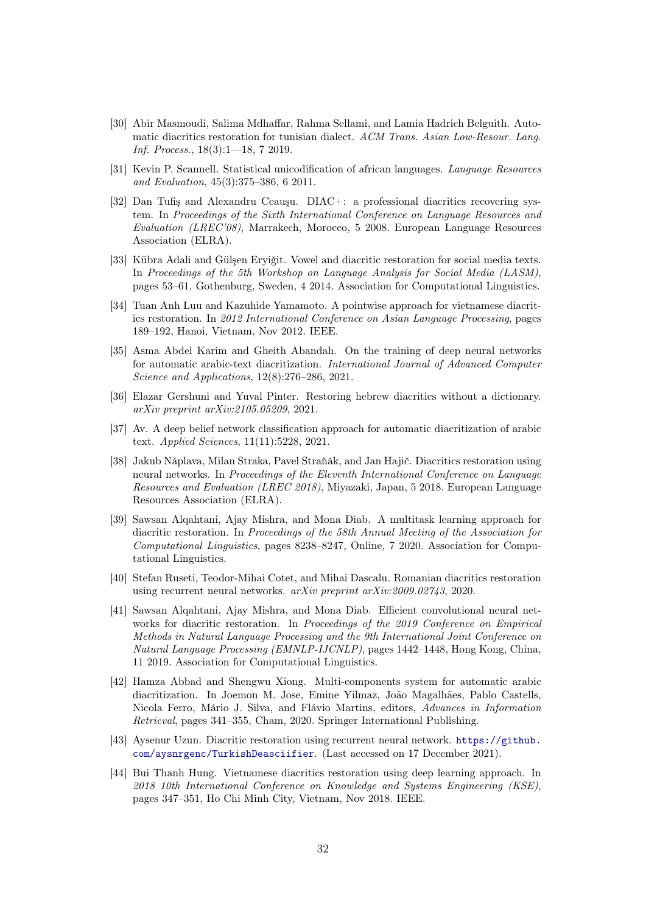- <span id="page-31-0"></span>[30] Abir Masmoudi, Salima Mdhaffar, Rahma Sellami, and Lamia Hadrich Belguith. Automatic diacritics restoration for tunisian dialect. ACM Trans. Asian Low-Resour. Lang. Inf. Process., 18(3):1—18, 7 2019.
- <span id="page-31-1"></span>[31] Kevin P. Scannell. Statistical unicodification of african languages. Language Resources and Evaluation, 45(3):375–386, 6 2011.
- <span id="page-31-2"></span>[32] Dan Tufiş and Alexandru Ceauşu. DIAC+: a professional diacritics recovering system. In Proceedings of the Sixth International Conference on Language Resources and Evaluation (LREC'08), Marrakech, Morocco, 5 2008. European Language Resources Association (ELRA).
- <span id="page-31-3"></span>[33] Kübra Adali and Gülşen Eryiğit. Vowel and diacritic restoration for social media texts. In Proceedings of the 5th Workshop on Language Analysis for Social Media (LASM), pages 53–61, Gothenburg, Sweden, 4 2014. Association for Computational Linguistics.
- <span id="page-31-4"></span>[34] Tuan Anh Luu and Kazuhide Yamamoto. A pointwise approach for vietnamese diacritics restoration. In 2012 International Conference on Asian Language Processing, pages 189–192, Hanoi, Vietnam, Nov 2012. IEEE.
- <span id="page-31-5"></span>[35] Asma Abdel Karim and Gheith Abandah. On the training of deep neural networks for automatic arabic-text diacritization. International Journal of Advanced Computer Science and Applications, 12(8):276–286, 2021.
- <span id="page-31-6"></span>[36] Elazar Gershuni and Yuval Pinter. Restoring hebrew diacritics without a dictionary. arXiv preprint arXiv:2105.05209, 2021.
- <span id="page-31-7"></span>[37] Av. A deep belief network classification approach for automatic diacritization of arabic text. Applied Sciences, 11(11):5228, 2021.
- <span id="page-31-8"></span>[38] Jakub Náplava, Milan Straka, Pavel Straňák, and Jan Hajič. Diacritics restoration using neural networks. In Proceedings of the Eleventh International Conference on Language Resources and Evaluation (LREC 2018), Miyazaki, Japan, 5 2018. European Language Resources Association (ELRA).
- <span id="page-31-9"></span>[39] Sawsan Alqahtani, Ajay Mishra, and Mona Diab. A multitask learning approach for diacritic restoration. In Proceedings of the 58th Annual Meeting of the Association for Computational Linguistics, pages 8238–8247, Online, 7 2020. Association for Computational Linguistics.
- <span id="page-31-10"></span>[40] Stefan Ruseti, Teodor-Mihai Cotet, and Mihai Dascalu. Romanian diacritics restoration using recurrent neural networks. arXiv preprint arXiv:2009.02743, 2020.
- <span id="page-31-11"></span>[41] Sawsan Alqahtani, Ajay Mishra, and Mona Diab. Efficient convolutional neural networks for diacritic restoration. In Proceedings of the 2019 Conference on Empirical Methods in Natural Language Processing and the 9th International Joint Conference on Natural Language Processing (EMNLP-IJCNLP), pages 1442–1448, Hong Kong, China, 11 2019. Association for Computational Linguistics.
- <span id="page-31-12"></span>[42] Hamza Abbad and Shengwu Xiong. Multi-components system for automatic arabic diacritization. In Joemon M. Jose, Emine Yilmaz, João Magalhães, Pablo Castells, Nicola Ferro, Mário J. Silva, and Flávio Martins, editors, Advances in Information Retrieval, pages 341–355, Cham, 2020. Springer International Publishing.
- <span id="page-31-13"></span>[43] Aysenur Uzun. Diacritic restoration using recurrent neural network. [https://github.](https://github.com/aysnrgenc/TurkishDeasciifier) [com/aysnrgenc/TurkishDeasciifier](https://github.com/aysnrgenc/TurkishDeasciifier). (Last accessed on 17 December 2021).
- <span id="page-31-14"></span>[44] Bui Thanh Hung. Vietnamese diacritics restoration using deep learning approach. In 2018 10th International Conference on Knowledge and Systems Engineering (KSE), pages 347–351, Ho Chi Minh City, Vietnam, Nov 2018. IEEE.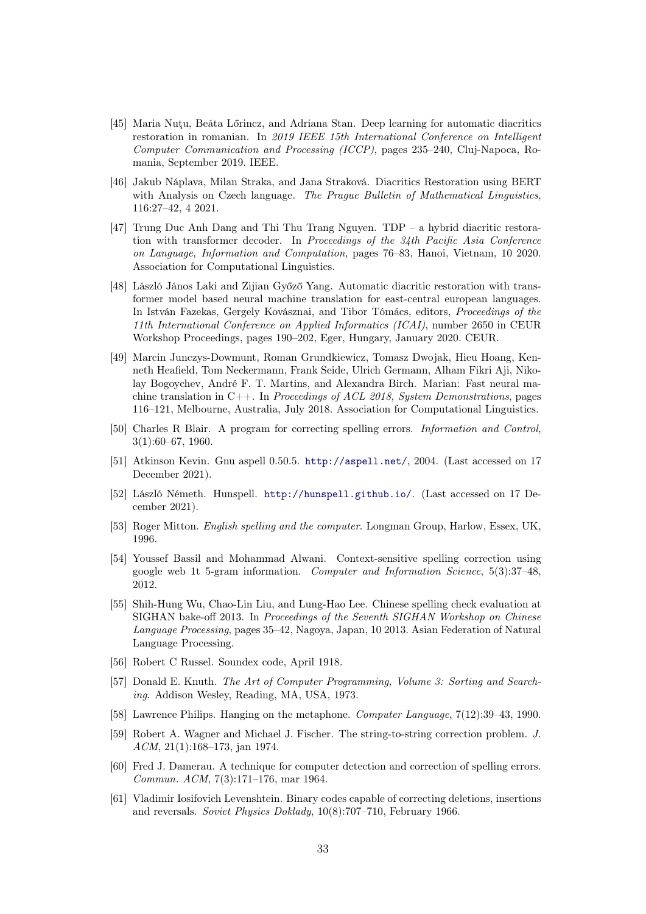- <span id="page-32-0"></span>[45] Maria Nuţu, Beáta Lőrincz, and Adriana Stan. Deep learning for automatic diacritics restoration in romanian. In 2019 IEEE 15th International Conference on Intelligent Computer Communication and Processing (ICCP), pages 235–240, Cluj-Napoca, Romania, September 2019. IEEE.
- <span id="page-32-1"></span>[46] Jakub Náplava, Milan Straka, and Jana Straková. Diacritics Restoration using BERT with Analysis on Czech language. The Prague Bulletin of Mathematical Linguistics, 116:27–42, 4 2021.
- <span id="page-32-2"></span>[47] Trung Duc Anh Dang and Thi Thu Trang Nguyen. TDP – a hybrid diacritic restoration with transformer decoder. In Proceedings of the 34th Pacific Asia Conference on Language, Information and Computation, pages 76–83, Hanoi, Vietnam, 10 2020. Association for Computational Linguistics.
- <span id="page-32-3"></span>[48] László János Laki and Zijian Győző Yang. Automatic diacritic restoration with transformer model based neural machine translation for east-central european languages. In István Fazekas, Gergely Kovásznai, and Tibor Tómács, editors, Proceedings of the 11th International Conference on Applied Informatics (ICAI), number 2650 in CEUR Workshop Proceedings, pages 190–202, Eger, Hungary, January 2020. CEUR.
- <span id="page-32-4"></span>[49] Marcin Junczys-Dowmunt, Roman Grundkiewicz, Tomasz Dwojak, Hieu Hoang, Kenneth Heafield, Tom Neckermann, Frank Seide, Ulrich Germann, Alham Fikri Aji, Nikolay Bogoychev, André F. T. Martins, and Alexandra Birch. Marian: Fast neural machine translation in  $C_{++}$ . In *Proceedings of ACL 2018, System Demonstrations*, pages 116–121, Melbourne, Australia, July 2018. Association for Computational Linguistics.
- <span id="page-32-5"></span>[50] Charles R Blair. A program for correcting spelling errors. Information and Control, 3(1):60–67, 1960.
- <span id="page-32-6"></span>[51] Atkinson Kevin. Gnu aspell 0.50.5. <http://aspell.net/>, 2004. (Last accessed on 17 December 2021).
- <span id="page-32-7"></span>[52] László Németh. Hunspell. <http://hunspell.github.io/>. (Last accessed on 17 December 2021).
- <span id="page-32-8"></span>[53] Roger Mitton. English spelling and the computer. Longman Group, Harlow, Essex, UK, 1996.
- <span id="page-32-9"></span>[54] Youssef Bassil and Mohammad Alwani. Context-sensitive spelling correction using google web 1t 5-gram information. Computer and Information Science, 5(3):37–48, 2012.
- <span id="page-32-10"></span>[55] Shih-Hung Wu, Chao-Lin Liu, and Lung-Hao Lee. Chinese spelling check evaluation at SIGHAN bake-off 2013. In Proceedings of the Seventh SIGHAN Workshop on Chinese Language Processing, pages 35–42, Nagoya, Japan, 10 2013. Asian Federation of Natural Language Processing.
- <span id="page-32-11"></span>[56] Robert C Russel. Soundex code, April 1918.
- <span id="page-32-12"></span>[57] Donald E. Knuth. The Art of Computer Programming, Volume 3: Sorting and Searching. Addison Wesley, Reading, MA, USA, 1973.
- <span id="page-32-13"></span>[58] Lawrence Philips. Hanging on the metaphone. Computer Language, 7(12):39–43, 1990.
- <span id="page-32-14"></span>[59] Robert A. Wagner and Michael J. Fischer. The string-to-string correction problem. J. ACM, 21(1):168–173, jan 1974.
- <span id="page-32-15"></span>[60] Fred J. Damerau. A technique for computer detection and correction of spelling errors. Commun. ACM, 7(3):171–176, mar 1964.
- <span id="page-32-16"></span>[61] Vladimir Iosifovich Levenshtein. Binary codes capable of correcting deletions, insertions and reversals. Soviet Physics Doklady, 10(8):707–710, February 1966.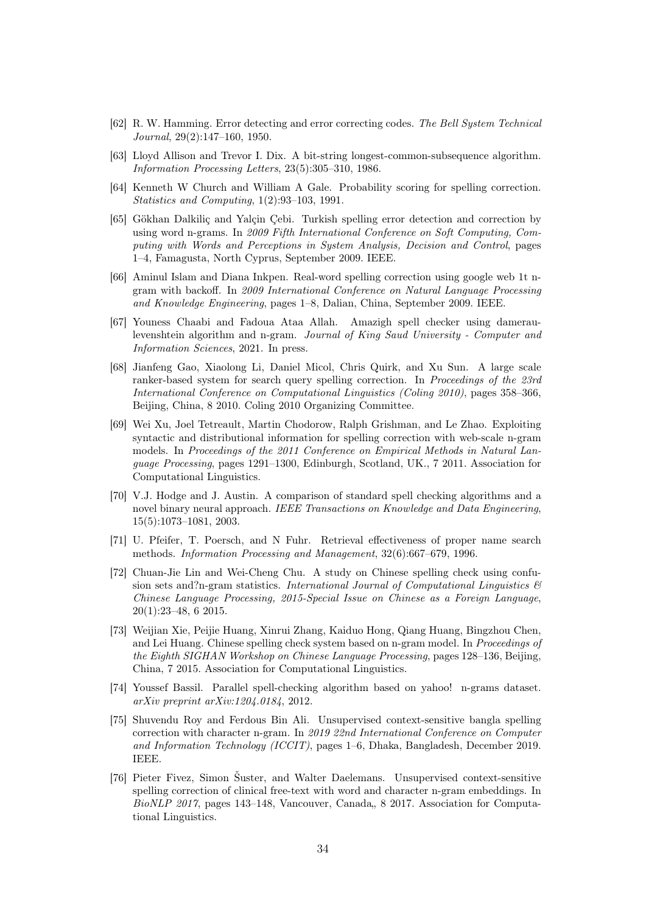- <span id="page-33-0"></span>[62] R. W. Hamming. Error detecting and error correcting codes. The Bell System Technical Journal, 29(2):147–160, 1950.
- <span id="page-33-1"></span>[63] Lloyd Allison and Trevor I. Dix. A bit-string longest-common-subsequence algorithm. Information Processing Letters, 23(5):305–310, 1986.
- <span id="page-33-2"></span>[64] Kenneth W Church and William A Gale. Probability scoring for spelling correction. Statistics and Computing, 1(2):93–103, 1991.
- <span id="page-33-3"></span>[65] Gökhan Dalkiliç and Yalçin Çebi. Turkish spelling error detection and correction by using word n-grams. In 2009 Fifth International Conference on Soft Computing, Computing with Words and Perceptions in System Analysis, Decision and Control, pages 1–4, Famagusta, North Cyprus, September 2009. IEEE.
- <span id="page-33-4"></span>[66] Aminul Islam and Diana Inkpen. Real-word spelling correction using google web 1t ngram with backoff. In 2009 International Conference on Natural Language Processing and Knowledge Engineering, pages 1–8, Dalian, China, September 2009. IEEE.
- <span id="page-33-5"></span>[67] Youness Chaabi and Fadoua Ataa Allah. Amazigh spell checker using dameraulevenshtein algorithm and n-gram. Journal of King Saud University - Computer and Information Sciences, 2021. In press.
- <span id="page-33-6"></span>[68] Jianfeng Gao, Xiaolong Li, Daniel Micol, Chris Quirk, and Xu Sun. A large scale ranker-based system for search query spelling correction. In Proceedings of the 23rd International Conference on Computational Linguistics (Coling 2010), pages 358–366, Beijing, China, 8 2010. Coling 2010 Organizing Committee.
- <span id="page-33-7"></span>[69] Wei Xu, Joel Tetreault, Martin Chodorow, Ralph Grishman, and Le Zhao. Exploiting syntactic and distributional information for spelling correction with web-scale n-gram models. In Proceedings of the 2011 Conference on Empirical Methods in Natural Language Processing, pages 1291–1300, Edinburgh, Scotland, UK., 7 2011. Association for Computational Linguistics.
- <span id="page-33-8"></span>[70] V.J. Hodge and J. Austin. A comparison of standard spell checking algorithms and a novel binary neural approach. IEEE Transactions on Knowledge and Data Engineering, 15(5):1073–1081, 2003.
- <span id="page-33-9"></span>[71] U. Pfeifer, T. Poersch, and N Fuhr. Retrieval effectiveness of proper name search methods. Information Processing and Management, 32(6):667–679, 1996.
- <span id="page-33-10"></span>[72] Chuan-Jie Lin and Wei-Cheng Chu. A study on Chinese spelling check using confusion sets and?n-gram statistics. International Journal of Computational Linguistics  $\mathcal{B}$ Chinese Language Processing, 2015-Special Issue on Chinese as a Foreign Language, 20(1):23–48, 6 2015.
- <span id="page-33-11"></span>[73] Weijian Xie, Peijie Huang, Xinrui Zhang, Kaiduo Hong, Qiang Huang, Bingzhou Chen, and Lei Huang. Chinese spelling check system based on n-gram model. In Proceedings of the Eighth SIGHAN Workshop on Chinese Language Processing, pages 128–136, Beijing, China, 7 2015. Association for Computational Linguistics.
- <span id="page-33-12"></span>[74] Youssef Bassil. Parallel spell-checking algorithm based on yahoo! n-grams dataset. arXiv preprint arXiv:1204.0184, 2012.
- <span id="page-33-13"></span>[75] Shuvendu Roy and Ferdous Bin Ali. Unsupervised context-sensitive bangla spelling correction with character n-gram. In 2019 22nd International Conference on Computer and Information Technology (ICCIT), pages 1–6, Dhaka, Bangladesh, December 2019. IEEE.
- <span id="page-33-14"></span>[76] Pieter Fivez, Simon Šuster, and Walter Daelemans. Unsupervised context-sensitive spelling correction of clinical free-text with word and character n-gram embeddings. In  $BioNLP$  2017, pages 143–148, Vancouver, Canada, 8 2017. Association for Computational Linguistics.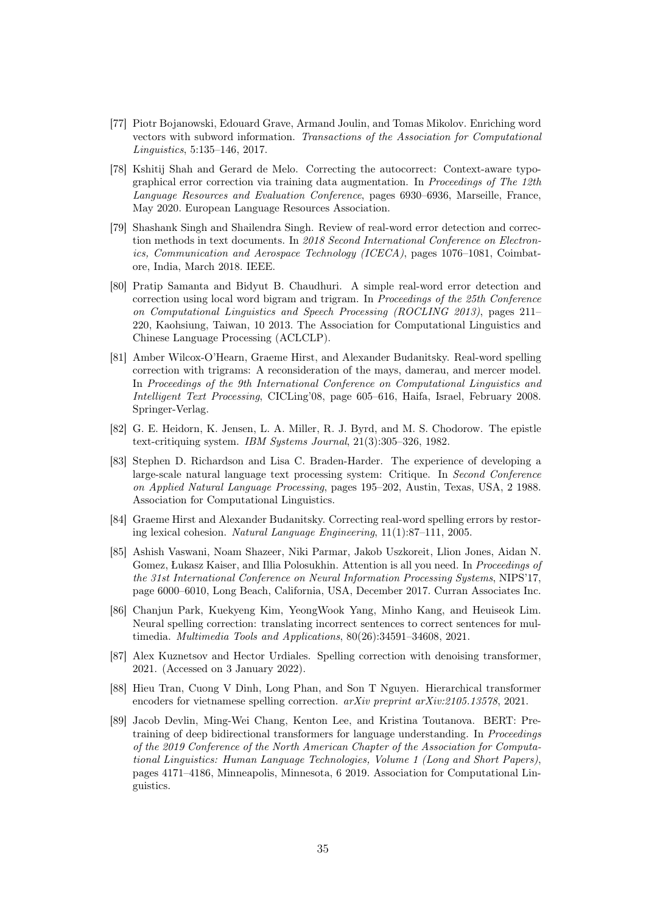- <span id="page-34-0"></span>[77] Piotr Bojanowski, Edouard Grave, Armand Joulin, and Tomas Mikolov. Enriching word vectors with subword information. Transactions of the Association for Computational Linguistics, 5:135–146, 2017.
- <span id="page-34-1"></span>[78] Kshitij Shah and Gerard de Melo. Correcting the autocorrect: Context-aware typographical error correction via training data augmentation. In Proceedings of The 12th Language Resources and Evaluation Conference, pages 6930–6936, Marseille, France, May 2020. European Language Resources Association.
- <span id="page-34-2"></span>[79] Shashank Singh and Shailendra Singh. Review of real-word error detection and correction methods in text documents. In 2018 Second International Conference on Electronics, Communication and Aerospace Technology (ICECA), pages 1076–1081, Coimbatore, India, March 2018. IEEE.
- <span id="page-34-3"></span>[80] Pratip Samanta and Bidyut B. Chaudhuri. A simple real-word error detection and correction using local word bigram and trigram. In Proceedings of the 25th Conference on Computational Linguistics and Speech Processing (ROCLING 2013), pages 211– 220, Kaohsiung, Taiwan, 10 2013. The Association for Computational Linguistics and Chinese Language Processing (ACLCLP).
- <span id="page-34-4"></span>[81] Amber Wilcox-O'Hearn, Graeme Hirst, and Alexander Budanitsky. Real-word spelling correction with trigrams: A reconsideration of the mays, damerau, and mercer model. In Proceedings of the 9th International Conference on Computational Linguistics and Intelligent Text Processing, CICLing'08, page 605–616, Haifa, Israel, February 2008. Springer-Verlag.
- <span id="page-34-5"></span>[82] G. E. Heidorn, K. Jensen, L. A. Miller, R. J. Byrd, and M. S. Chodorow. The epistle text-critiquing system. IBM Systems Journal, 21(3):305–326, 1982.
- <span id="page-34-6"></span>[83] Stephen D. Richardson and Lisa C. Braden-Harder. The experience of developing a large-scale natural language text processing system: Critique. In Second Conference on Applied Natural Language Processing, pages 195–202, Austin, Texas, USA, 2 1988. Association for Computational Linguistics.
- <span id="page-34-7"></span>[84] Graeme Hirst and Alexander Budanitsky. Correcting real-word spelling errors by restoring lexical cohesion. Natural Language Engineering, 11(1):87–111, 2005.
- <span id="page-34-8"></span>[85] Ashish Vaswani, Noam Shazeer, Niki Parmar, Jakob Uszkoreit, Llion Jones, Aidan N. Gomez, Łukasz Kaiser, and Illia Polosukhin. Attention is all you need. In Proceedings of the 31st International Conference on Neural Information Processing Systems, NIPS'17, page 6000–6010, Long Beach, California, USA, December 2017. Curran Associates Inc.
- <span id="page-34-9"></span>[86] Chanjun Park, Kuekyeng Kim, YeongWook Yang, Minho Kang, and Heuiseok Lim. Neural spelling correction: translating incorrect sentences to correct sentences for multimedia. Multimedia Tools and Applications, 80(26):34591–34608, 2021.
- <span id="page-34-10"></span>[87] Alex Kuznetsov and Hector Urdiales. Spelling correction with denoising transformer, 2021. (Accessed on 3 January 2022).
- <span id="page-34-11"></span>[88] Hieu Tran, Cuong V Dinh, Long Phan, and Son T Nguyen. Hierarchical transformer encoders for vietnamese spelling correction. arXiv preprint arXiv:2105.13578, 2021.
- <span id="page-34-12"></span>[89] Jacob Devlin, Ming-Wei Chang, Kenton Lee, and Kristina Toutanova. BERT: Pretraining of deep bidirectional transformers for language understanding. In Proceedings of the 2019 Conference of the North American Chapter of the Association for Computational Linguistics: Human Language Technologies, Volume 1 (Long and Short Papers), pages 4171–4186, Minneapolis, Minnesota, 6 2019. Association for Computational Linguistics.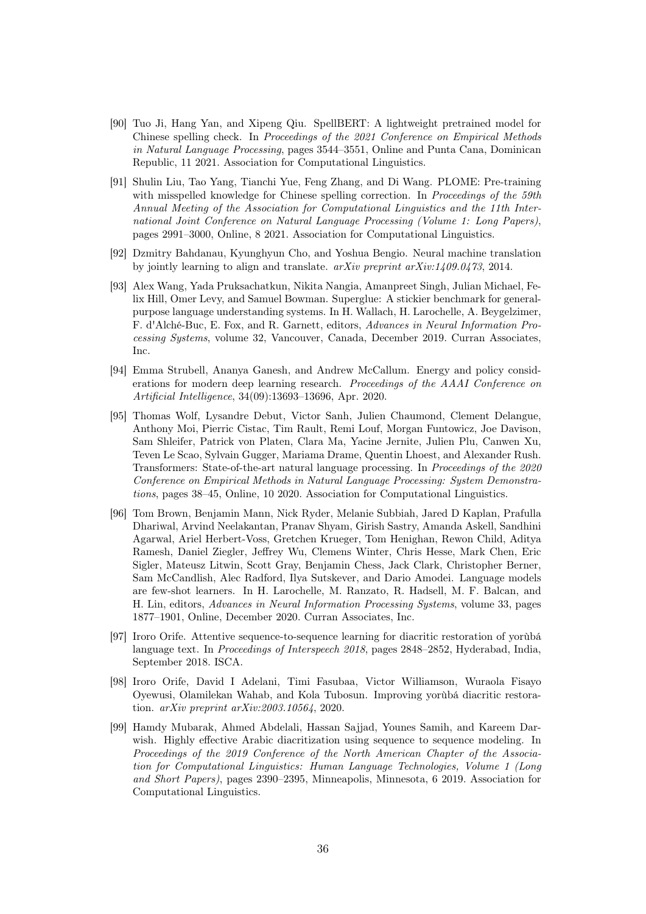- <span id="page-35-0"></span>[90] Tuo Ji, Hang Yan, and Xipeng Qiu. SpellBERT: A lightweight pretrained model for Chinese spelling check. In Proceedings of the 2021 Conference on Empirical Methods in Natural Language Processing, pages 3544–3551, Online and Punta Cana, Dominican Republic, 11 2021. Association for Computational Linguistics.
- <span id="page-35-1"></span>[91] Shulin Liu, Tao Yang, Tianchi Yue, Feng Zhang, and Di Wang. PLOME: Pre-training with misspelled knowledge for Chinese spelling correction. In *Proceedings of the 59th* Annual Meeting of the Association for Computational Linguistics and the 11th International Joint Conference on Natural Language Processing (Volume 1: Long Papers), pages 2991–3000, Online, 8 2021. Association for Computational Linguistics.
- <span id="page-35-2"></span>[92] Dzmitry Bahdanau, Kyunghyun Cho, and Yoshua Bengio. Neural machine translation by jointly learning to align and translate. arXiv preprint arXiv:1409.0473, 2014.
- <span id="page-35-3"></span>[93] Alex Wang, Yada Pruksachatkun, Nikita Nangia, Amanpreet Singh, Julian Michael, Felix Hill, Omer Levy, and Samuel Bowman. Superglue: A stickier benchmark for generalpurpose language understanding systems. In H. Wallach, H. Larochelle, A. Beygelzimer, F. d'Alché-Buc, E. Fox, and R. Garnett, editors, Advances in Neural Information Processing Systems, volume 32, Vancouver, Canada, December 2019. Curran Associates, Inc.
- <span id="page-35-4"></span>[94] Emma Strubell, Ananya Ganesh, and Andrew McCallum. Energy and policy considerations for modern deep learning research. Proceedings of the AAAI Conference on Artificial Intelligence, 34(09):13693–13696, Apr. 2020.
- <span id="page-35-5"></span>[95] Thomas Wolf, Lysandre Debut, Victor Sanh, Julien Chaumond, Clement Delangue, Anthony Moi, Pierric Cistac, Tim Rault, Remi Louf, Morgan Funtowicz, Joe Davison, Sam Shleifer, Patrick von Platen, Clara Ma, Yacine Jernite, Julien Plu, Canwen Xu, Teven Le Scao, Sylvain Gugger, Mariama Drame, Quentin Lhoest, and Alexander Rush. Transformers: State-of-the-art natural language processing. In Proceedings of the 2020 Conference on Empirical Methods in Natural Language Processing: System Demonstrations, pages 38–45, Online, 10 2020. Association for Computational Linguistics.
- <span id="page-35-6"></span>[96] Tom Brown, Benjamin Mann, Nick Ryder, Melanie Subbiah, Jared D Kaplan, Prafulla Dhariwal, Arvind Neelakantan, Pranav Shyam, Girish Sastry, Amanda Askell, Sandhini Agarwal, Ariel Herbert-Voss, Gretchen Krueger, Tom Henighan, Rewon Child, Aditya Ramesh, Daniel Ziegler, Jeffrey Wu, Clemens Winter, Chris Hesse, Mark Chen, Eric Sigler, Mateusz Litwin, Scott Gray, Benjamin Chess, Jack Clark, Christopher Berner, Sam McCandlish, Alec Radford, Ilya Sutskever, and Dario Amodei. Language models are few-shot learners. In H. Larochelle, M. Ranzato, R. Hadsell, M. F. Balcan, and H. Lin, editors, Advances in Neural Information Processing Systems, volume 33, pages 1877–1901, Online, December 2020. Curran Associates, Inc.
- <span id="page-35-7"></span>[97] Iroro Orife. Attentive sequence-to-sequence learning for diacritic restoration of yorùbá language text. In *Proceedings of Interspeech 2018*, pages 2848–2852, Hyderabad, India, September 2018. ISCA.
- <span id="page-35-8"></span>[98] Iroro Orife, David I Adelani, Timi Fasubaa, Victor Williamson, Wuraola Fisayo Oyewusi, Olamilekan Wahab, and Kola Tubosun. Improving yorùbá diacritic restoration. arXiv preprint arXiv:2003.10564, 2020.
- <span id="page-35-9"></span>[99] Hamdy Mubarak, Ahmed Abdelali, Hassan Sajjad, Younes Samih, and Kareem Darwish. Highly effective Arabic diacritization using sequence to sequence modeling. In Proceedings of the 2019 Conference of the North American Chapter of the Association for Computational Linguistics: Human Language Technologies, Volume 1 (Long and Short Papers), pages 2390–2395, Minneapolis, Minnesota, 6 2019. Association for Computational Linguistics.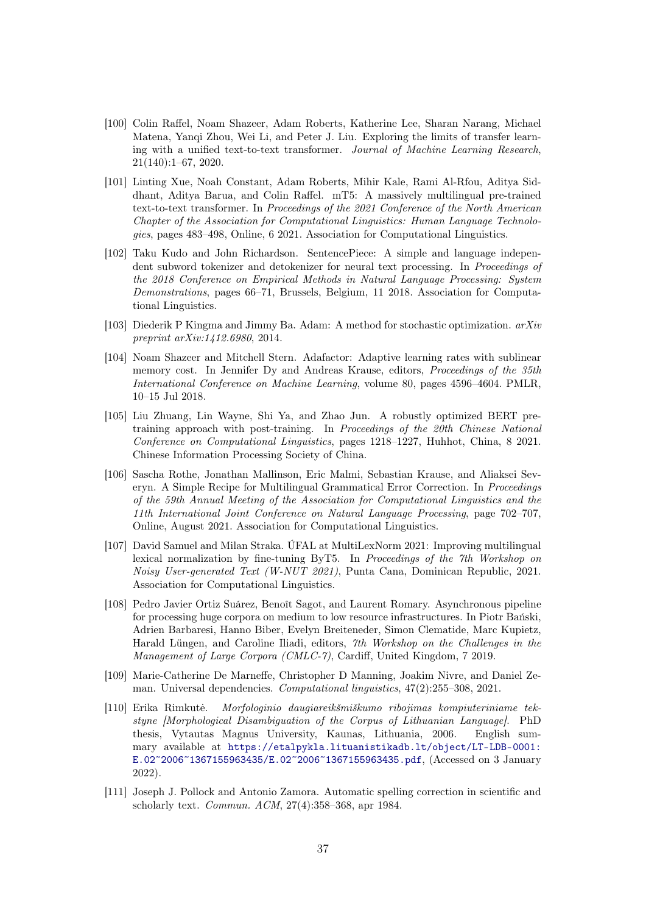- <span id="page-36-0"></span>[100] Colin Raffel, Noam Shazeer, Adam Roberts, Katherine Lee, Sharan Narang, Michael Matena, Yanqi Zhou, Wei Li, and Peter J. Liu. Exploring the limits of transfer learning with a unified text-to-text transformer. Journal of Machine Learning Research, 21(140):1–67, 2020.
- <span id="page-36-1"></span>[101] Linting Xue, Noah Constant, Adam Roberts, Mihir Kale, Rami Al-Rfou, Aditya Siddhant, Aditya Barua, and Colin Raffel. mT5: A massively multilingual pre-trained text-to-text transformer. In Proceedings of the 2021 Conference of the North American Chapter of the Association for Computational Linguistics: Human Language Technologies, pages 483–498, Online, 6 2021. Association for Computational Linguistics.
- <span id="page-36-2"></span>[102] Taku Kudo and John Richardson. SentencePiece: A simple and language independent subword tokenizer and detokenizer for neural text processing. In *Proceedings of* the 2018 Conference on Empirical Methods in Natural Language Processing: System Demonstrations, pages 66–71, Brussels, Belgium, 11 2018. Association for Computational Linguistics.
- <span id="page-36-3"></span>[103] Diederik P Kingma and Jimmy Ba. Adam: A method for stochastic optimization. arXiv preprint arXiv:1412.6980, 2014.
- <span id="page-36-4"></span>[104] Noam Shazeer and Mitchell Stern. Adafactor: Adaptive learning rates with sublinear memory cost. In Jennifer Dy and Andreas Krause, editors, *Proceedings of the 35th* International Conference on Machine Learning, volume 80, pages 4596–4604. PMLR, 10–15 Jul 2018.
- <span id="page-36-5"></span>[105] Liu Zhuang, Lin Wayne, Shi Ya, and Zhao Jun. A robustly optimized BERT pretraining approach with post-training. In Proceedings of the 20th Chinese National Conference on Computational Linguistics, pages 1218–1227, Huhhot, China, 8 2021. Chinese Information Processing Society of China.
- <span id="page-36-6"></span>[106] Sascha Rothe, Jonathan Mallinson, Eric Malmi, Sebastian Krause, and Aliaksei Severyn. A Simple Recipe for Multilingual Grammatical Error Correction. In Proceedings of the 59th Annual Meeting of the Association for Computational Linguistics and the 11th International Joint Conference on Natural Language Processing, page 702–707, Online, August 2021. Association for Computational Linguistics.
- <span id="page-36-7"></span>[107] David Samuel and Milan Straka. ÚFAL at MultiLexNorm 2021: Improving multilingual lexical normalization by fine-tuning ByT5. In Proceedings of the 7th Workshop on Noisy User-generated Text (W-NUT 2021), Punta Cana, Dominican Republic, 2021. Association for Computational Linguistics.
- <span id="page-36-8"></span>[108] Pedro Javier Ortiz Suárez, Benoît Sagot, and Laurent Romary. Asynchronous pipeline for processing huge corpora on medium to low resource infrastructures. In Piotr Bański, Adrien Barbaresi, Hanno Biber, Evelyn Breiteneder, Simon Clematide, Marc Kupietz, Harald Lüngen, and Caroline Iliadi, editors, 7th Workshop on the Challenges in the Management of Large Corpora (CMLC-7), Cardiff, United Kingdom, 7 2019.
- <span id="page-36-9"></span>[109] Marie-Catherine De Marneffe, Christopher D Manning, Joakim Nivre, and Daniel Zeman. Universal dependencies. Computational linguistics, 47(2):255–308, 2021.
- <span id="page-36-10"></span>[110] Erika Rimkutė. Morfologinio daugiareikšmiškumo ribojimas kompiuteriniame tekstyne [Morphological Disambiguation of the Corpus of Lithuanian Language]. PhD thesis, Vytautas Magnus University, Kaunas, Lithuania, 2006. English summary available at [https://etalpykla.lituanistikadb.lt/object/LT-LDB-0001:](https://etalpykla.lituanistikadb.lt/object/LT-LDB-0001:E.02~2006~1367155963435/E.02~2006~1367155963435.pdf) [E.02~2006~1367155963435/E.02~2006~1367155963435.pdf](https://etalpykla.lituanistikadb.lt/object/LT-LDB-0001:E.02~2006~1367155963435/E.02~2006~1367155963435.pdf), (Accessed on 3 January 2022).
- <span id="page-36-11"></span>[111] Joseph J. Pollock and Antonio Zamora. Automatic spelling correction in scientific and scholarly text. Commun. ACM, 27(4):358–368, apr 1984.